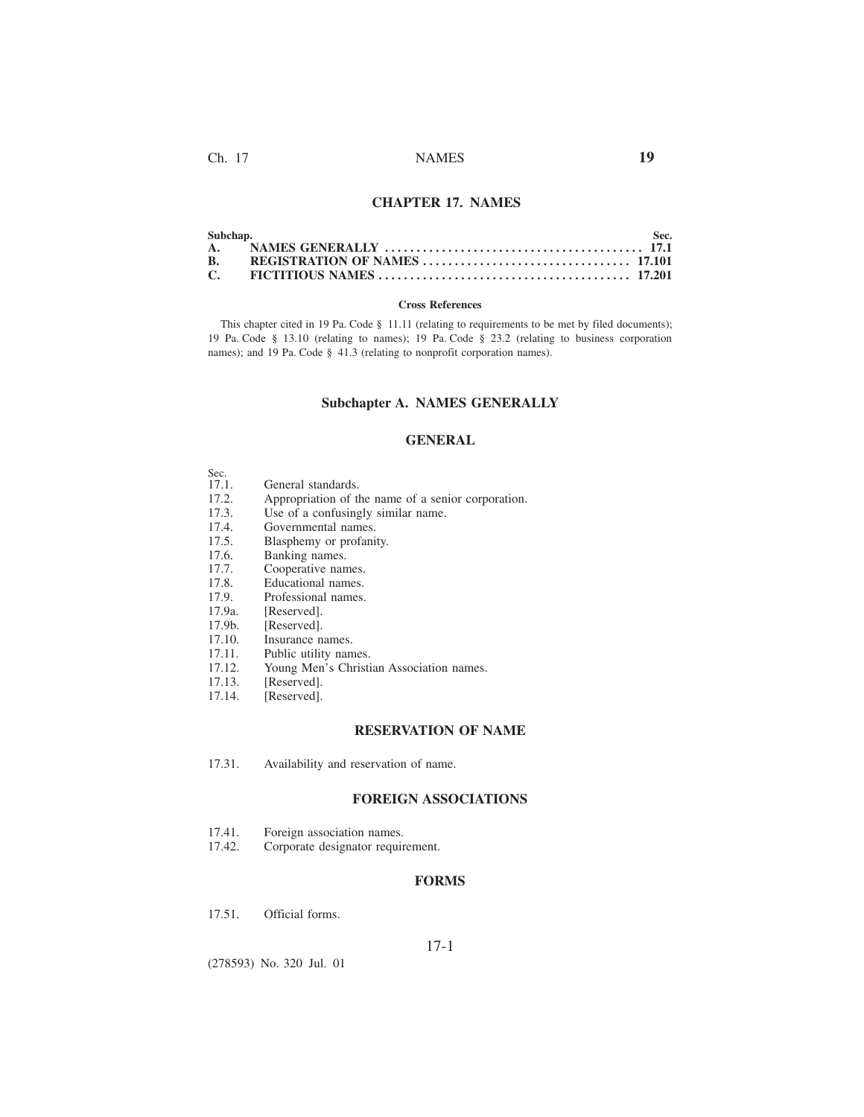# **CHAPTER 17. NAMES**

| <b>B.</b> |  |  |
|-----------|--|--|
|           |  |  |

### **Cross References**

This chapter cited in 19 Pa. Code § 11.11 (relating to requirements to be met by filed documents); 19 Pa. Code § 13.10 (relating to names); 19 Pa. Code § 23.2 (relating to business corporation names); and 19 Pa. Code § 41.3 (relating to nonprofit corporation names).

# **Subchapter A. NAMES GENERALLY**

## **GENERAL**

| Sec.  |                                                    |
|-------|----------------------------------------------------|
| 17.1. | General standards.                                 |
| 17.2. | Appropriation of the name of a senior corporation. |
| 17.3. | Use of a confusingly similar name.                 |

- 17.3. Use of a confusingly similar name.<br>17.4. Governmental names.
- 17.4. Governmental names.<br>17.5. Blasphemy or profani
- 17.5. Blasphemy or profanity.<br>17.6. Banking names.
- Banking names.
- 
- 17.7. Cooperative names.<br>17.8. Educational names.
- 17.8. Educational names.<br>17.9. Professional names. 17.9. Professional names.<br>17.9a. [Reserved].
- [Reserved].
- 
- 17.9b. [Reserved].<br>17.10. Insurance n
- 17.10. Insurance names.<br>17.11. Public utility nam
- 17.11. Public utility names.<br>17.12. Young Men's Christi 17.12. Young Men's Christian Association names.<br>17.13. [Reserved].
- 17.13. [Reserved].<br>17.14. [Reserved].
- [Reserved].

## **RESERVATION OF NAME**

17.31. Availability and reservation of name.

# **FOREIGN ASSOCIATIONS**

- 17.41. Foreign association names.<br>17.42. Corporate designator requir
- Corporate designator requirement.

### **FORMS**

17.51. Official forms.

# 17-1

(278593) No. 320 Jul. 01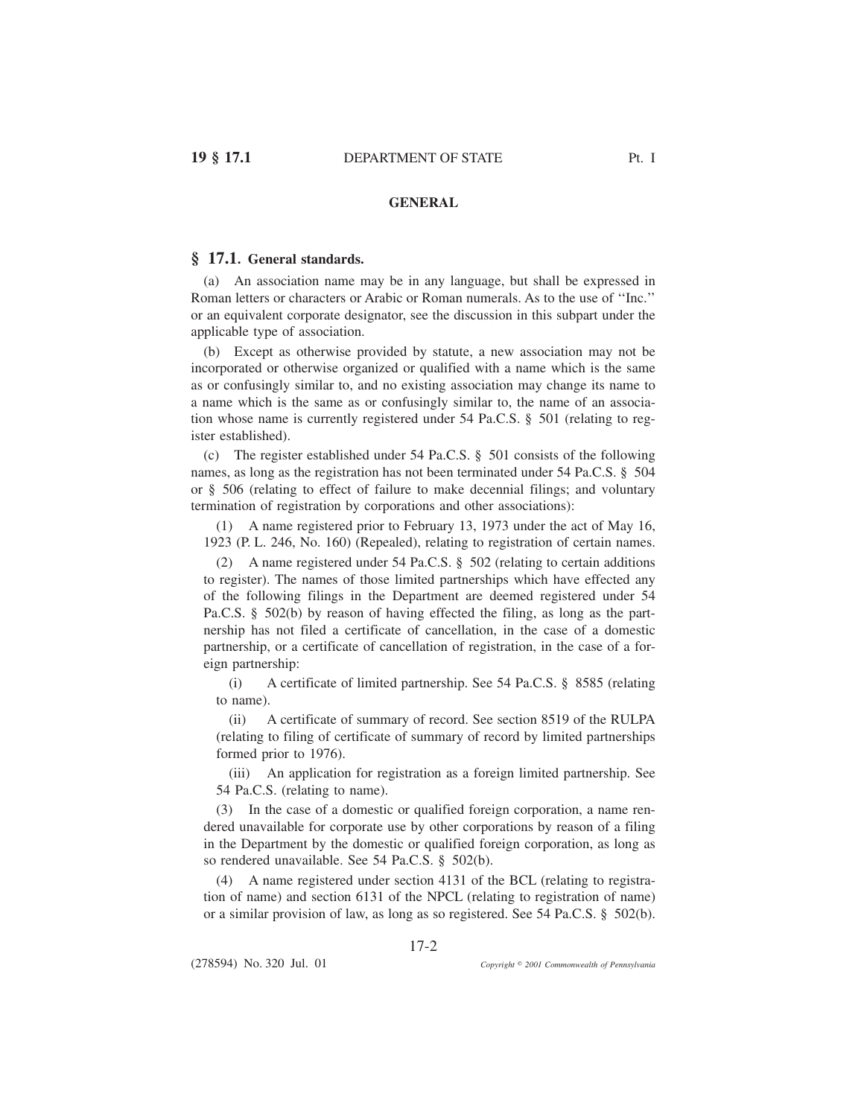# **GENERAL**

## **§ 17.1. General standards.**

(a) An association name may be in any language, but shall be expressed in Roman letters or characters or Arabic or Roman numerals. As to the use of ''Inc.'' or an equivalent corporate designator, see the discussion in this subpart under the applicable type of association.

(b) Except as otherwise provided by statute, a new association may not be incorporated or otherwise organized or qualified with a name which is the same as or confusingly similar to, and no existing association may change its name to a name which is the same as or confusingly similar to, the name of an association whose name is currently registered under 54 Pa.C.S. § 501 (relating to register established).

(c) The register established under 54 Pa.C.S. § 501 consists of the following names, as long as the registration has not been terminated under 54 Pa.C.S. § 504 or § 506 (relating to effect of failure to make decennial filings; and voluntary termination of registration by corporations and other associations):

(1) A name registered prior to February 13, 1973 under the act of May 16, 1923 (P. L. 246, No. 160) (Repealed), relating to registration of certain names.

(2) A name registered under 54 Pa.C.S. § 502 (relating to certain additions to register). The names of those limited partnerships which have effected any of the following filings in the Department are deemed registered under 54 Pa.C.S. § 502(b) by reason of having effected the filing, as long as the partnership has not filed a certificate of cancellation, in the case of a domestic partnership, or a certificate of cancellation of registration, in the case of a foreign partnership:

(i) A certificate of limited partnership. See 54 Pa.C.S. § 8585 (relating to name).

(ii) A certificate of summary of record. See section 8519 of the RULPA (relating to filing of certificate of summary of record by limited partnerships formed prior to 1976).

(iii) An application for registration as a foreign limited partnership. See 54 Pa.C.S. (relating to name).

(3) In the case of a domestic or qualified foreign corporation, a name rendered unavailable for corporate use by other corporations by reason of a filing in the Department by the domestic or qualified foreign corporation, as long as so rendered unavailable. See 54 Pa.C.S. § 502(b).

(4) A name registered under section 4131 of the BCL (relating to registration of name) and section 6131 of the NPCL (relating to registration of name) or a similar provision of law, as long as so registered. See 54 Pa.C.S. § 502(b).

17-2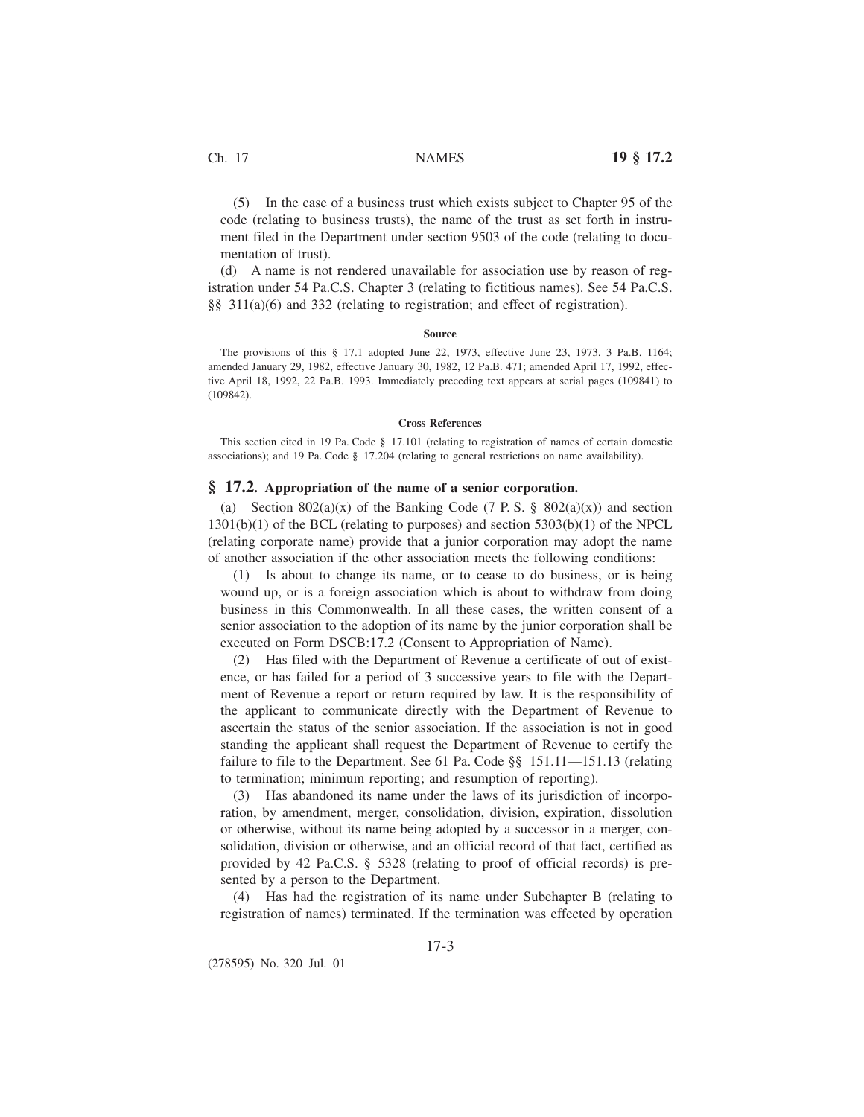(5) In the case of a business trust which exists subject to Chapter 95 of the code (relating to business trusts), the name of the trust as set forth in instrument filed in the Department under section 9503 of the code (relating to documentation of trust).

(d) A name is not rendered unavailable for association use by reason of registration under 54 Pa.C.S. Chapter 3 (relating to fictitious names). See 54 Pa.C.S. §§ 311(a)(6) and 332 (relating to registration; and effect of registration).

#### **Source**

The provisions of this § 17.1 adopted June 22, 1973, effective June 23, 1973, 3 Pa.B. 1164; amended January 29, 1982, effective January 30, 1982, 12 Pa.B. 471; amended April 17, 1992, effective April 18, 1992, 22 Pa.B. 1993. Immediately preceding text appears at serial pages (109841) to (109842).

#### **Cross References**

This section cited in 19 Pa. Code § 17.101 (relating to registration of names of certain domestic associations); and 19 Pa. Code § 17.204 (relating to general restrictions on name availability).

# **§ 17.2. Appropriation of the name of a senior corporation.**

(a) Section 802(a)(x) of the Banking Code (7 P. S. § 802(a)(x)) and section 1301(b)(1) of the BCL (relating to purposes) and section 5303(b)(1) of the NPCL (relating corporate name) provide that a junior corporation may adopt the name of another association if the other association meets the following conditions:

(1) Is about to change its name, or to cease to do business, or is being wound up, or is a foreign association which is about to withdraw from doing business in this Commonwealth. In all these cases, the written consent of a senior association to the adoption of its name by the junior corporation shall be executed on Form DSCB:17.2 (Consent to Appropriation of Name).

(2) Has filed with the Department of Revenue a certificate of out of existence, or has failed for a period of 3 successive years to file with the Department of Revenue a report or return required by law. It is the responsibility of the applicant to communicate directly with the Department of Revenue to ascertain the status of the senior association. If the association is not in good standing the applicant shall request the Department of Revenue to certify the failure to file to the Department. See 61 Pa. Code §§ 151.11—151.13 (relating to termination; minimum reporting; and resumption of reporting).

(3) Has abandoned its name under the laws of its jurisdiction of incorporation, by amendment, merger, consolidation, division, expiration, dissolution or otherwise, without its name being adopted by a successor in a merger, consolidation, division or otherwise, and an official record of that fact, certified as provided by 42 Pa.C.S. § 5328 (relating to proof of official records) is presented by a person to the Department.

(4) Has had the registration of its name under Subchapter B (relating to registration of names) terminated. If the termination was effected by operation

(278595) No. 320 Jul. 01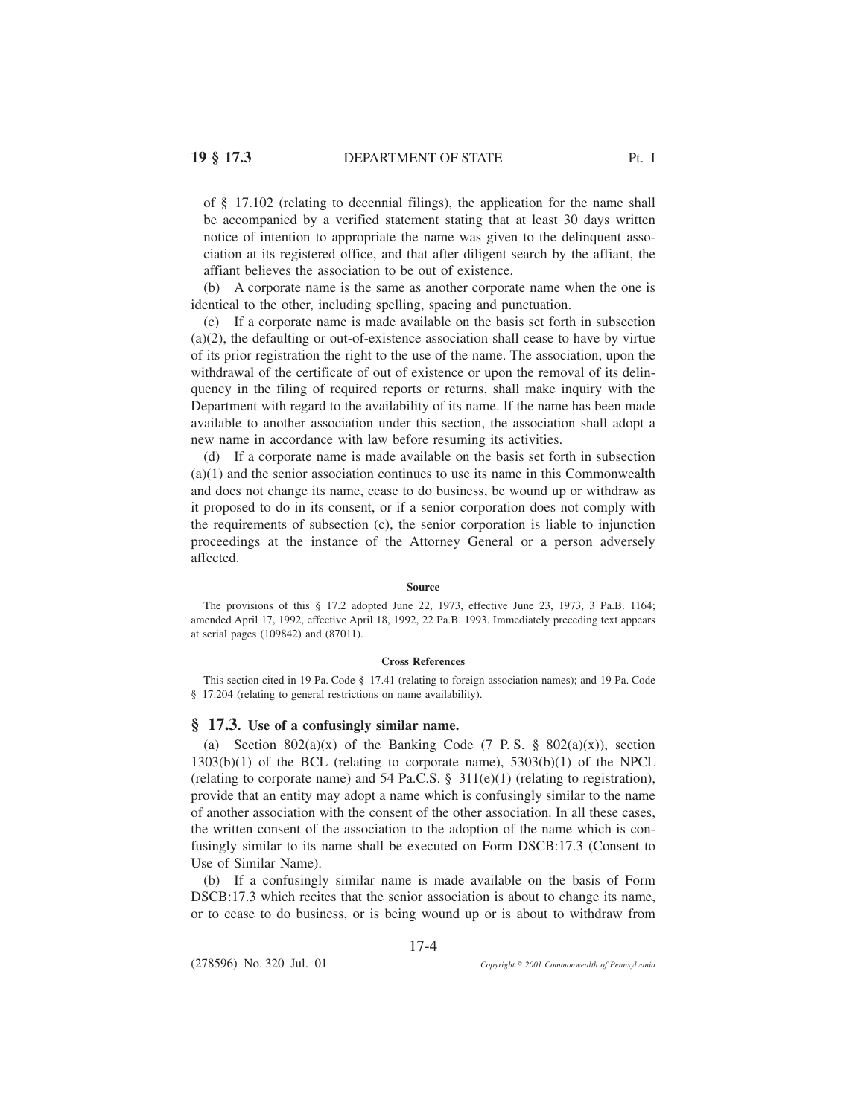of § 17.102 (relating to decennial filings), the application for the name shall be accompanied by a verified statement stating that at least 30 days written notice of intention to appropriate the name was given to the delinquent association at its registered office, and that after diligent search by the affiant, the affiant believes the association to be out of existence.

(b) A corporate name is the same as another corporate name when the one is identical to the other, including spelling, spacing and punctuation.

(c) If a corporate name is made available on the basis set forth in subsection  $(a)(2)$ , the defaulting or out-of-existence association shall cease to have by virtue of its prior registration the right to the use of the name. The association, upon the withdrawal of the certificate of out of existence or upon the removal of its delinquency in the filing of required reports or returns, shall make inquiry with the Department with regard to the availability of its name. If the name has been made available to another association under this section, the association shall adopt a new name in accordance with law before resuming its activities.

(d) If a corporate name is made available on the basis set forth in subsection (a)(1) and the senior association continues to use its name in this Commonwealth and does not change its name, cease to do business, be wound up or withdraw as it proposed to do in its consent, or if a senior corporation does not comply with the requirements of subsection (c), the senior corporation is liable to injunction proceedings at the instance of the Attorney General or a person adversely affected.

### **Source**

The provisions of this § 17.2 adopted June 22, 1973, effective June 23, 1973, 3 Pa.B. 1164; amended April 17, 1992, effective April 18, 1992, 22 Pa.B. 1993. Immediately preceding text appears at serial pages (109842) and (87011).

### **Cross References**

This section cited in 19 Pa. Code § 17.41 (relating to foreign association names); and 19 Pa. Code § 17.204 (relating to general restrictions on name availability).

## **§ 17.3. Use of a confusingly similar name.**

(a) Section 802(a)(x) of the Banking Code (7 P.S.  $\S$  802(a)(x)), section  $1303(b)(1)$  of the BCL (relating to corporate name),  $5303(b)(1)$  of the NPCL (relating to corporate name) and 54 Pa.C.S. § 311(e)(1) (relating to registration), provide that an entity may adopt a name which is confusingly similar to the name of another association with the consent of the other association. In all these cases, the written consent of the association to the adoption of the name which is confusingly similar to its name shall be executed on Form DSCB:17.3 (Consent to Use of Similar Name).

(b) If a confusingly similar name is made available on the basis of Form DSCB:17.3 which recites that the senior association is about to change its name, or to cease to do business, or is being wound up or is about to withdraw from

17-4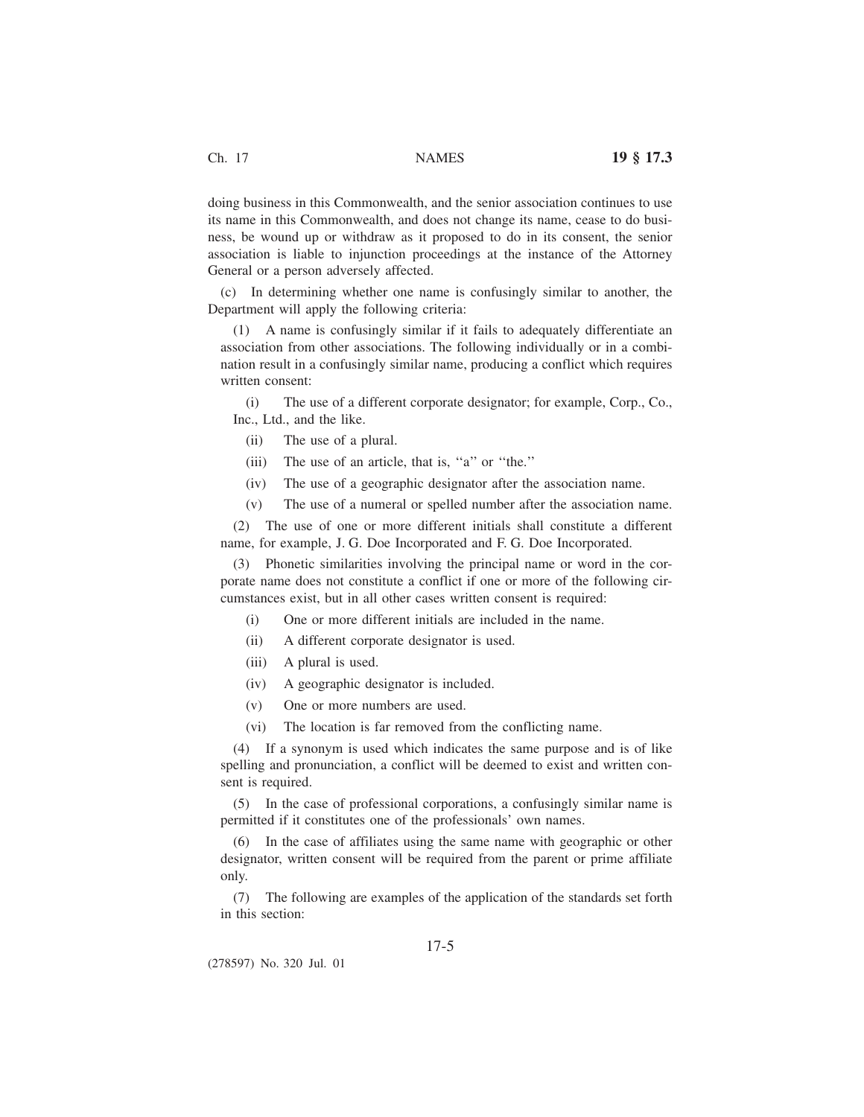doing business in this Commonwealth, and the senior association continues to use its name in this Commonwealth, and does not change its name, cease to do business, be wound up or withdraw as it proposed to do in its consent, the senior association is liable to injunction proceedings at the instance of the Attorney General or a person adversely affected.

(c) In determining whether one name is confusingly similar to another, the Department will apply the following criteria:

(1) A name is confusingly similar if it fails to adequately differentiate an association from other associations. The following individually or in a combination result in a confusingly similar name, producing a conflict which requires written consent:

(i) The use of a different corporate designator; for example, Corp., Co., Inc., Ltd., and the like.

- (ii) The use of a plural.
- (iii) The use of an article, that is, ''a'' or ''the.''
- (iv) The use of a geographic designator after the association name.
- (v) The use of a numeral or spelled number after the association name.

(2) The use of one or more different initials shall constitute a different name, for example, J. G. Doe Incorporated and F. G. Doe Incorporated.

(3) Phonetic similarities involving the principal name or word in the corporate name does not constitute a conflict if one or more of the following circumstances exist, but in all other cases written consent is required:

- (i) One or more different initials are included in the name.
- (ii) A different corporate designator is used.
- (iii) A plural is used.
- (iv) A geographic designator is included.
- (v) One or more numbers are used.
- (vi) The location is far removed from the conflicting name.

(4) If a synonym is used which indicates the same purpose and is of like spelling and pronunciation, a conflict will be deemed to exist and written consent is required.

(5) In the case of professional corporations, a confusingly similar name is permitted if it constitutes one of the professionals' own names.

(6) In the case of affiliates using the same name with geographic or other designator, written consent will be required from the parent or prime affiliate only.

(7) The following are examples of the application of the standards set forth in this section:

(278597) No. 320 Jul. 01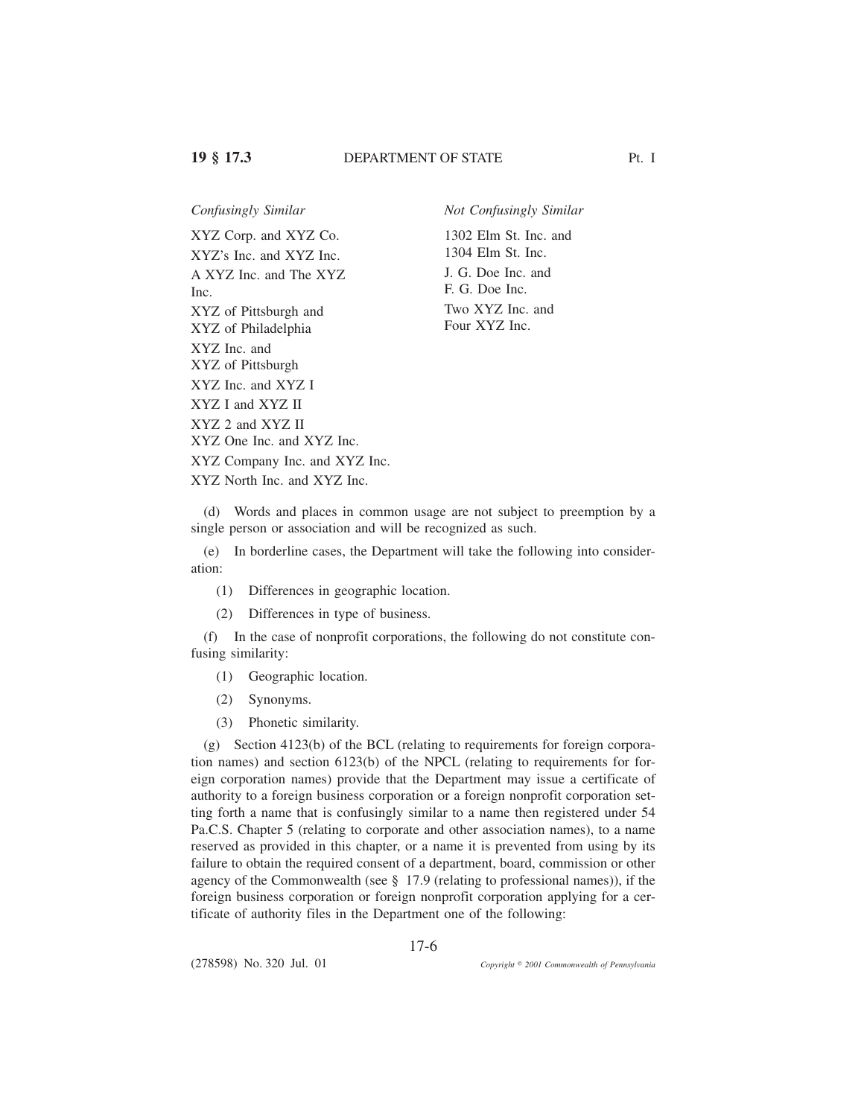# **19 § 17.3** DEPARTMENT OF STATE Pt. I

XYZ Corp. and XYZ Co. XYZ's Inc. and XYZ Inc. A XYZ Inc. and The XYZ Inc. XYZ of Pittsburgh and XYZ of Philadelphia XYZ Inc. and XYZ of Pittsburgh XYZ Inc. and XYZ I

*Confusingly Similar Not Confusingly Similar*

1302 Elm St. Inc. and 1304 Elm St. Inc. J. G. Doe Inc. and F. G. Doe Inc. Two XYZ Inc. and Four XYZ Inc.

XYZ 2 and XYZ II

XYZ I and XYZ II

XYZ One Inc. and XYZ Inc.

XYZ Company Inc. and XYZ Inc.

XYZ North Inc. and XYZ Inc.

(d) Words and places in common usage are not subject to preemption by a single person or association and will be recognized as such.

(e) In borderline cases, the Department will take the following into consideration:

(1) Differences in geographic location.

(2) Differences in type of business.

(f) In the case of nonprofit corporations, the following do not constitute confusing similarity:

(1) Geographic location.

- (2) Synonyms.
- (3) Phonetic similarity.

(g) Section 4123(b) of the BCL (relating to requirements for foreign corporation names) and section 6123(b) of the NPCL (relating to requirements for foreign corporation names) provide that the Department may issue a certificate of authority to a foreign business corporation or a foreign nonprofit corporation setting forth a name that is confusingly similar to a name then registered under 54 Pa.C.S. Chapter 5 (relating to corporate and other association names), to a name reserved as provided in this chapter, or a name it is prevented from using by its failure to obtain the required consent of a department, board, commission or other agency of the Commonwealth (see § 17.9 (relating to professional names)), if the foreign business corporation or foreign nonprofit corporation applying for a certificate of authority files in the Department one of the following: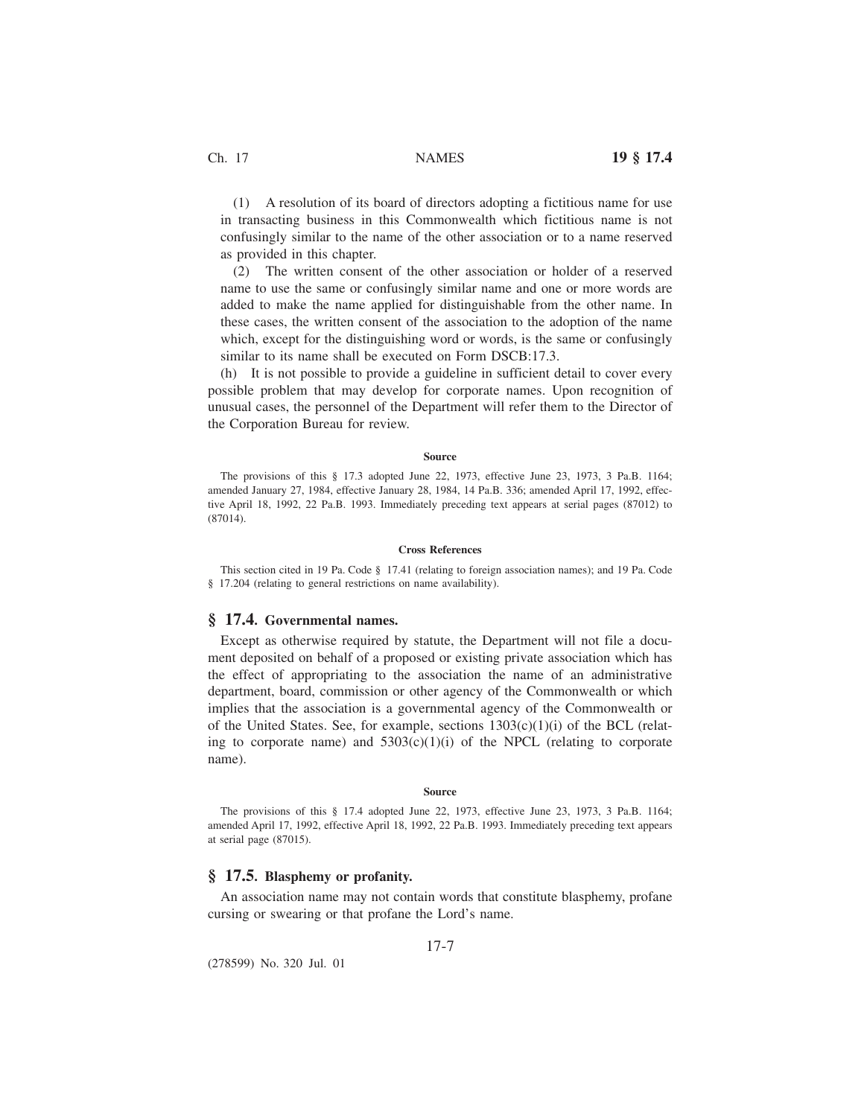(1) A resolution of its board of directors adopting a fictitious name for use in transacting business in this Commonwealth which fictitious name is not confusingly similar to the name of the other association or to a name reserved as provided in this chapter.

(2) The written consent of the other association or holder of a reserved name to use the same or confusingly similar name and one or more words are added to make the name applied for distinguishable from the other name. In these cases, the written consent of the association to the adoption of the name which, except for the distinguishing word or words, is the same or confusingly similar to its name shall be executed on Form DSCB:17.3.

(h) It is not possible to provide a guideline in sufficient detail to cover every possible problem that may develop for corporate names. Upon recognition of unusual cases, the personnel of the Department will refer them to the Director of the Corporation Bureau for review.

### **Source**

The provisions of this § 17.3 adopted June 22, 1973, effective June 23, 1973, 3 Pa.B. 1164; amended January 27, 1984, effective January 28, 1984, 14 Pa.B. 336; amended April 17, 1992, effective April 18, 1992, 22 Pa.B. 1993. Immediately preceding text appears at serial pages (87012) to (87014).

### **Cross References**

This section cited in 19 Pa. Code § 17.41 (relating to foreign association names); and 19 Pa. Code § 17.204 (relating to general restrictions on name availability).

## **§ 17.4. Governmental names.**

Except as otherwise required by statute, the Department will not file a document deposited on behalf of a proposed or existing private association which has the effect of appropriating to the association the name of an administrative department, board, commission or other agency of the Commonwealth or which implies that the association is a governmental agency of the Commonwealth or of the United States. See, for example, sections  $1303(c)(1)(i)$  of the BCL (relating to corporate name) and  $5303(c)(1)(i)$  of the NPCL (relating to corporate name).

#### **Source**

The provisions of this § 17.4 adopted June 22, 1973, effective June 23, 1973, 3 Pa.B. 1164; amended April 17, 1992, effective April 18, 1992, 22 Pa.B. 1993. Immediately preceding text appears at serial page (87015).

# **§ 17.5. Blasphemy or profanity.**

An association name may not contain words that constitute blasphemy, profane cursing or swearing or that profane the Lord's name.

17-7

(278599) No. 320 Jul. 01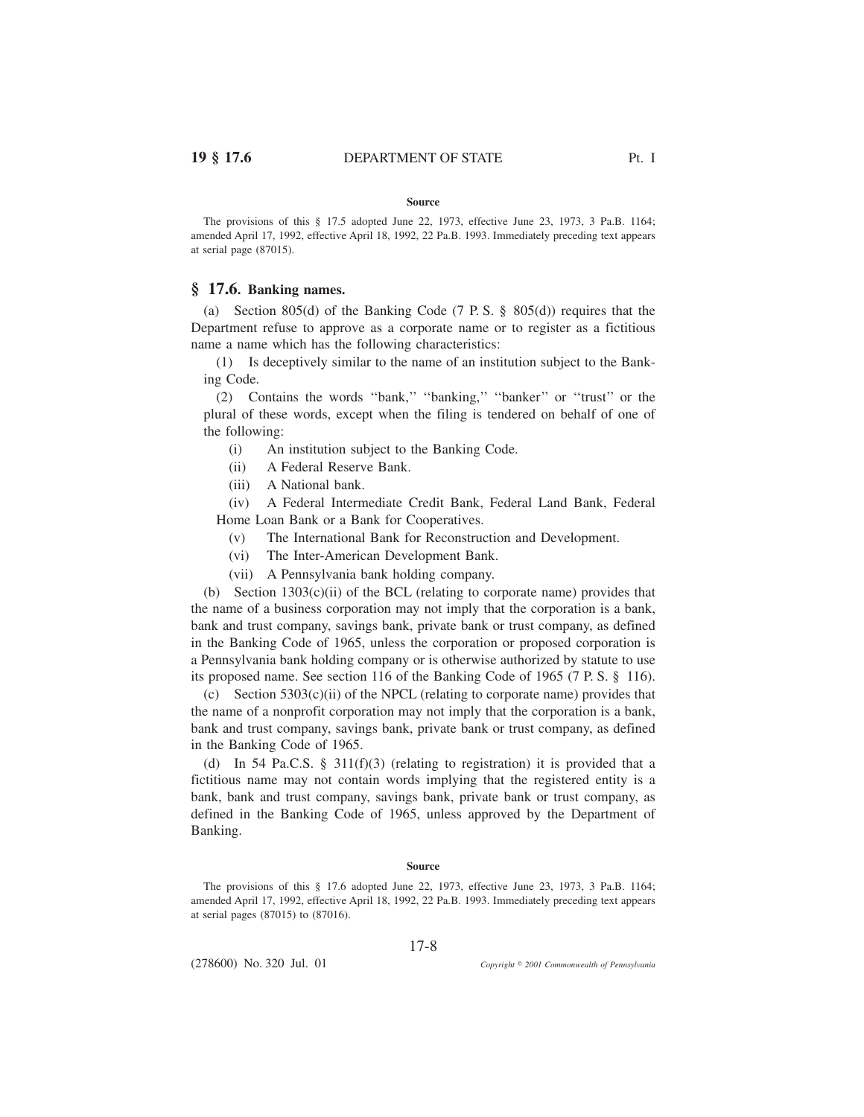The provisions of this § 17.5 adopted June 22, 1973, effective June 23, 1973, 3 Pa.B. 1164; amended April 17, 1992, effective April 18, 1992, 22 Pa.B. 1993. Immediately preceding text appears at serial page (87015).

# **§ 17.6. Banking names.**

(a) Section 805(d) of the Banking Code (7 P. S. § 805(d)) requires that the Department refuse to approve as a corporate name or to register as a fictitious name a name which has the following characteristics:

(1) Is deceptively similar to the name of an institution subject to the Banking Code.

(2) Contains the words ''bank,'' ''banking,'' ''banker'' or ''trust'' or the plural of these words, except when the filing is tendered on behalf of one of the following:

- (i) An institution subject to the Banking Code.
- (ii) A Federal Reserve Bank.
- (iii) A National bank.

(iv) A Federal Intermediate Credit Bank, Federal Land Bank, Federal Home Loan Bank or a Bank for Cooperatives.

- (v) The International Bank for Reconstruction and Development.
- (vi) The Inter-American Development Bank.
- (vii) A Pennsylvania bank holding company.

(b) Section  $1303(c)(ii)$  of the BCL (relating to corporate name) provides that the name of a business corporation may not imply that the corporation is a bank, bank and trust company, savings bank, private bank or trust company, as defined in the Banking Code of 1965, unless the corporation or proposed corporation is a Pennsylvania bank holding company or is otherwise authorized by statute to use its proposed name. See section 116 of the Banking Code of 1965 (7 P. S. § 116).

(c) Section 5303(c)(ii) of the NPCL (relating to corporate name) provides that the name of a nonprofit corporation may not imply that the corporation is a bank, bank and trust company, savings bank, private bank or trust company, as defined in the Banking Code of 1965.

(d) In 54 Pa.C.S. § 311(f)(3) (relating to registration) it is provided that a fictitious name may not contain words implying that the registered entity is a bank, bank and trust company, savings bank, private bank or trust company, as defined in the Banking Code of 1965, unless approved by the Department of Banking.

## **Source**

The provisions of this § 17.6 adopted June 22, 1973, effective June 23, 1973, 3 Pa.B. 1164; amended April 17, 1992, effective April 18, 1992, 22 Pa.B. 1993. Immediately preceding text appears at serial pages (87015) to (87016).

17-8

(278600) No. 320 Jul. 01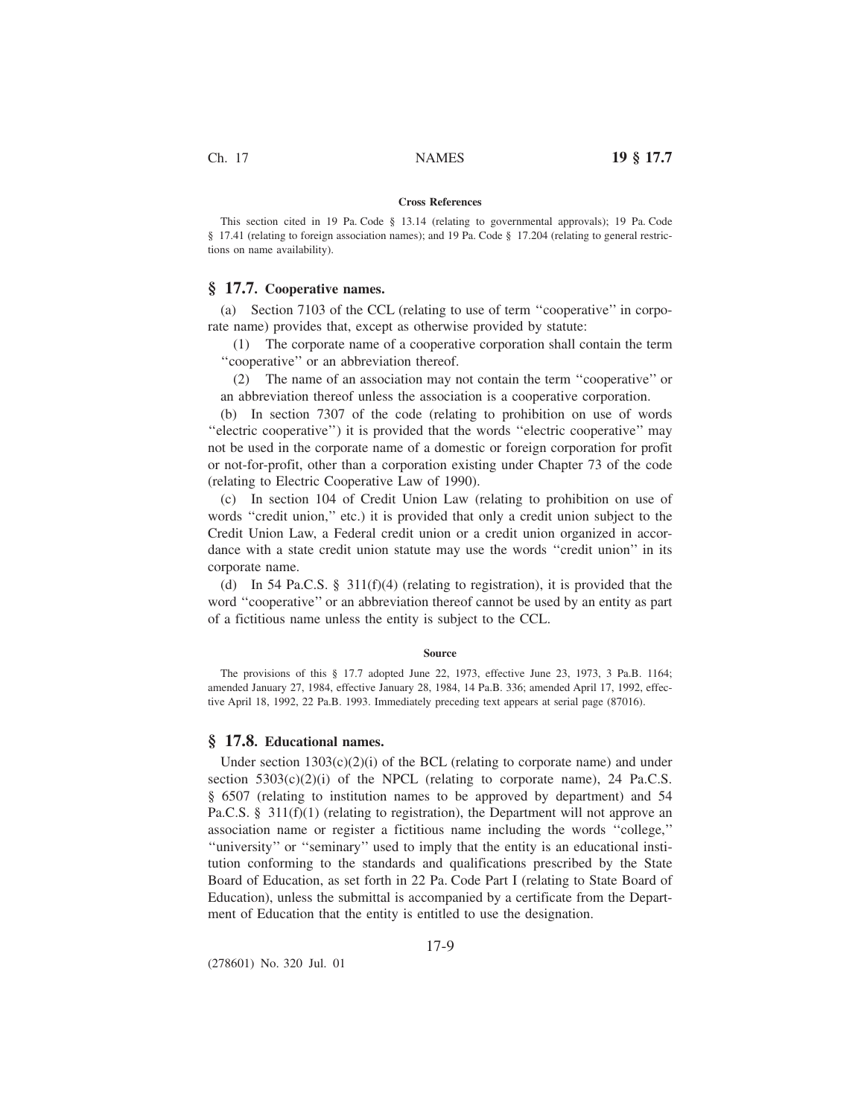### **Cross References**

This section cited in 19 Pa. Code § 13.14 (relating to governmental approvals); 19 Pa. Code § 17.41 (relating to foreign association names); and 19 Pa. Code § 17.204 (relating to general restrictions on name availability).

# **§ 17.7. Cooperative names.**

(a) Section 7103 of the CCL (relating to use of term ''cooperative'' in corporate name) provides that, except as otherwise provided by statute:

(1) The corporate name of a cooperative corporation shall contain the term ''cooperative'' or an abbreviation thereof.

(2) The name of an association may not contain the term ''cooperative'' or an abbreviation thereof unless the association is a cooperative corporation.

(b) In section 7307 of the code (relating to prohibition on use of words ''electric cooperative'') it is provided that the words ''electric cooperative'' may not be used in the corporate name of a domestic or foreign corporation for profit or not-for-profit, other than a corporation existing under Chapter 73 of the code (relating to Electric Cooperative Law of 1990).

(c) In section 104 of Credit Union Law (relating to prohibition on use of words ''credit union,'' etc.) it is provided that only a credit union subject to the Credit Union Law, a Federal credit union or a credit union organized in accordance with a state credit union statute may use the words ''credit union'' in its corporate name.

(d) In 54 Pa.C.S. § 311(f)(4) (relating to registration), it is provided that the word ''cooperative'' or an abbreviation thereof cannot be used by an entity as part of a fictitious name unless the entity is subject to the CCL.

#### **Source**

The provisions of this § 17.7 adopted June 22, 1973, effective June 23, 1973, 3 Pa.B. 1164; amended January 27, 1984, effective January 28, 1984, 14 Pa.B. 336; amended April 17, 1992, effective April 18, 1992, 22 Pa.B. 1993. Immediately preceding text appears at serial page (87016).

## **§ 17.8. Educational names.**

Under section  $1303(c)(2)(i)$  of the BCL (relating to corporate name) and under section  $5303(c)(2)(i)$  of the NPCL (relating to corporate name), 24 Pa.C.S. § 6507 (relating to institution names to be approved by department) and 54 Pa.C.S. § 311(f)(1) (relating to registration), the Department will not approve an association name or register a fictitious name including the words ''college,'' ''university'' or ''seminary'' used to imply that the entity is an educational institution conforming to the standards and qualifications prescribed by the State Board of Education, as set forth in 22 Pa. Code Part I (relating to State Board of Education), unless the submittal is accompanied by a certificate from the Department of Education that the entity is entitled to use the designation.

(278601) No. 320 Jul. 01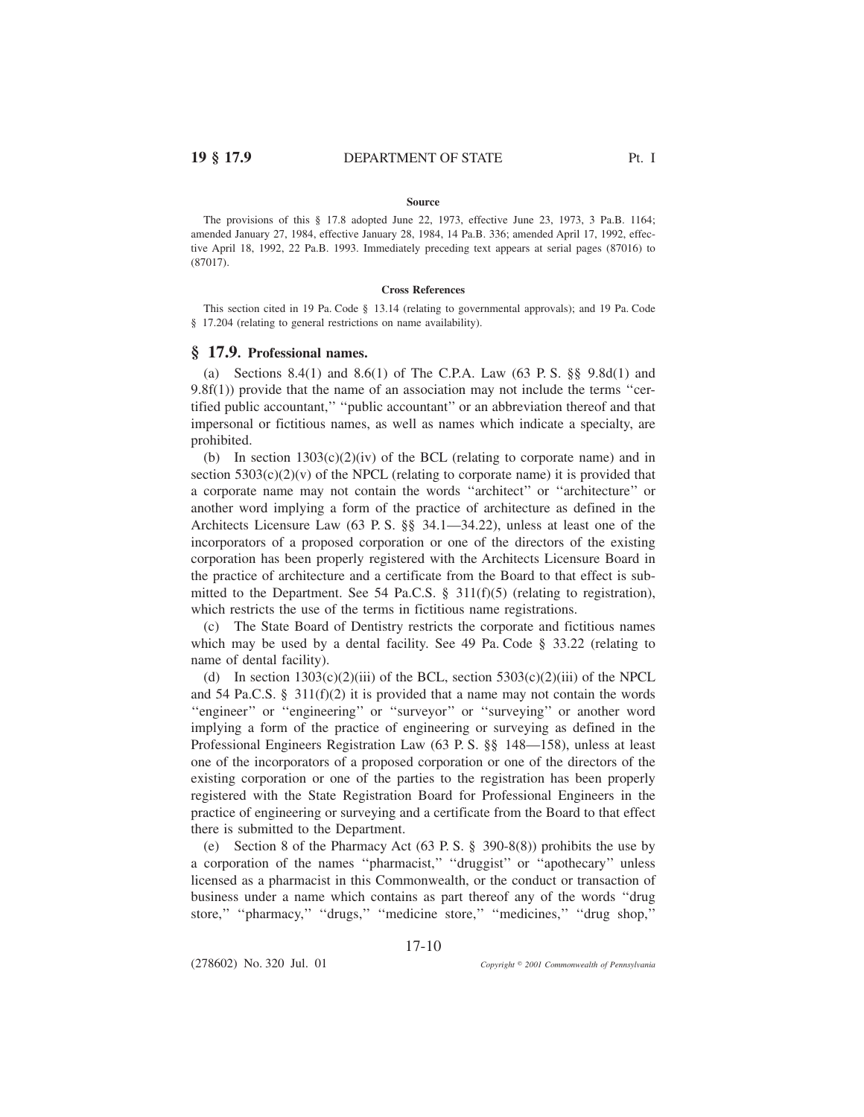The provisions of this § 17.8 adopted June 22, 1973, effective June 23, 1973, 3 Pa.B. 1164; amended January 27, 1984, effective January 28, 1984, 14 Pa.B. 336; amended April 17, 1992, effective April 18, 1992, 22 Pa.B. 1993. Immediately preceding text appears at serial pages (87016) to (87017).

#### **Cross References**

This section cited in 19 Pa. Code § 13.14 (relating to governmental approvals); and 19 Pa. Code § 17.204 (relating to general restrictions on name availability).

## **§ 17.9. Professional names.**

(a) Sections 8.4(1) and 8.6(1) of The C.P.A. Law (63 P. S. §§ 9.8d(1) and  $9.8f(1)$  provide that the name of an association may not include the terms "certified public accountant,'' ''public accountant'' or an abbreviation thereof and that impersonal or fictitious names, as well as names which indicate a specialty, are prohibited.

(b) In section  $1303(c)(2)(iv)$  of the BCL (relating to corporate name) and in section  $5303(c)(2)(v)$  of the NPCL (relating to corporate name) it is provided that a corporate name may not contain the words "architect" or "architecture" or another word implying a form of the practice of architecture as defined in the Architects Licensure Law (63 P. S. §§ 34.1—34.22), unless at least one of the incorporators of a proposed corporation or one of the directors of the existing corporation has been properly registered with the Architects Licensure Board in the practice of architecture and a certificate from the Board to that effect is submitted to the Department. See 54 Pa.C.S. § 311(f)(5) (relating to registration), which restricts the use of the terms in fictitious name registrations.

(c) The State Board of Dentistry restricts the corporate and fictitious names which may be used by a dental facility. See 49 Pa. Code § 33.22 (relating to name of dental facility).

(d) In section  $1303(c)(2)(iii)$  of the BCL, section  $5303(c)(2)(iii)$  of the NPCL and 54 Pa.C.S. § 311(f)(2) it is provided that a name may not contain the words "engineer" or "engineering" or "surveyor" or "surveying" or another word implying a form of the practice of engineering or surveying as defined in the Professional Engineers Registration Law (63 P. S. §§ 148—158), unless at least one of the incorporators of a proposed corporation or one of the directors of the existing corporation or one of the parties to the registration has been properly registered with the State Registration Board for Professional Engineers in the practice of engineering or surveying and a certificate from the Board to that effect there is submitted to the Department.

(e) Section 8 of the Pharmacy Act (63 P. S. § 390-8(8)) prohibits the use by a corporation of the names ''pharmacist,'' ''druggist'' or ''apothecary'' unless licensed as a pharmacist in this Commonwealth, or the conduct or transaction of business under a name which contains as part thereof any of the words ''drug store," "pharmacy," "drugs," "medicine store," "medicines," "drug shop,"

17-10

(278602) No. 320 Jul. 01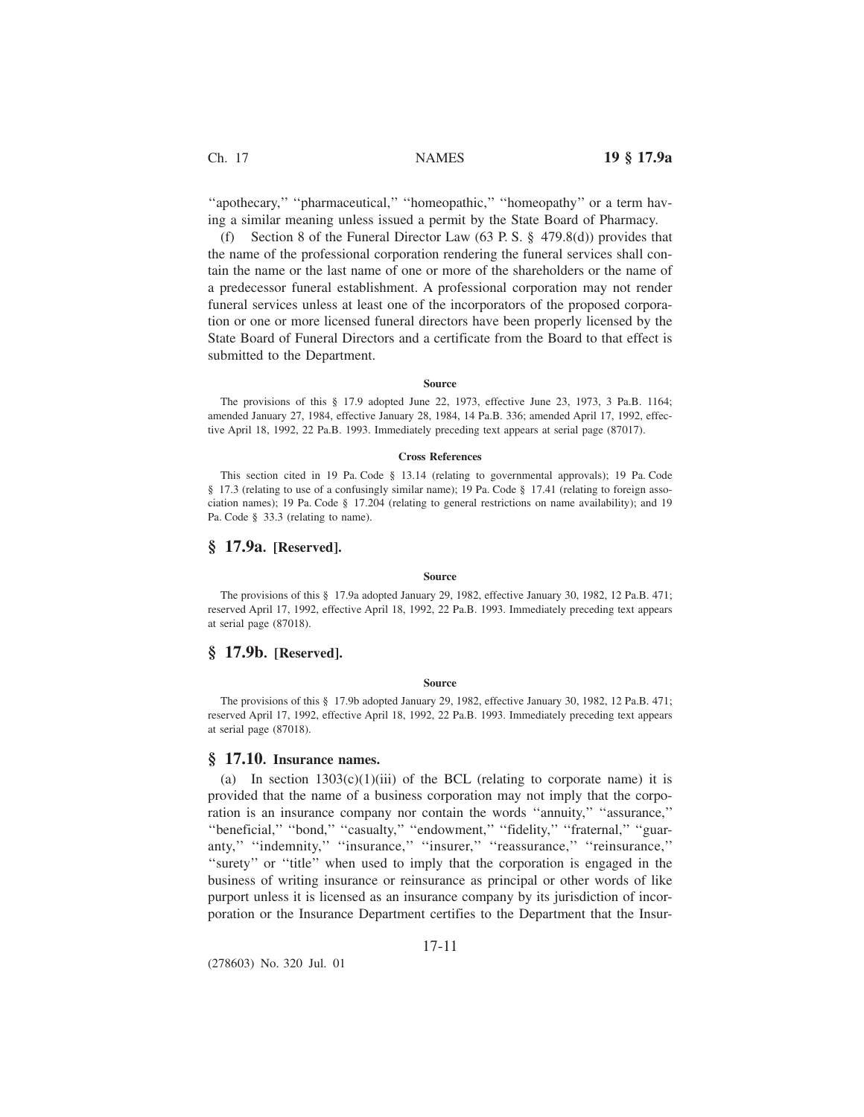''apothecary,'' ''pharmaceutical,'' ''homeopathic,'' ''homeopathy'' or a term having a similar meaning unless issued a permit by the State Board of Pharmacy.

(f) Section 8 of the Funeral Director Law (63 P. S. § 479.8(d)) provides that the name of the professional corporation rendering the funeral services shall contain the name or the last name of one or more of the shareholders or the name of a predecessor funeral establishment. A professional corporation may not render funeral services unless at least one of the incorporators of the proposed corporation or one or more licensed funeral directors have been properly licensed by the State Board of Funeral Directors and a certificate from the Board to that effect is submitted to the Department.

#### **Source**

The provisions of this § 17.9 adopted June 22, 1973, effective June 23, 1973, 3 Pa.B. 1164; amended January 27, 1984, effective January 28, 1984, 14 Pa.B. 336; amended April 17, 1992, effective April 18, 1992, 22 Pa.B. 1993. Immediately preceding text appears at serial page (87017).

#### **Cross References**

This section cited in 19 Pa. Code § 13.14 (relating to governmental approvals); 19 Pa. Code § 17.3 (relating to use of a confusingly similar name); 19 Pa. Code § 17.41 (relating to foreign association names); 19 Pa. Code § 17.204 (relating to general restrictions on name availability); and 19 Pa. Code § 33.3 (relating to name).

## **§ 17.9a. [Reserved].**

#### **Source**

The provisions of this § 17.9a adopted January 29, 1982, effective January 30, 1982, 12 Pa.B. 471; reserved April 17, 1992, effective April 18, 1992, 22 Pa.B. 1993. Immediately preceding text appears at serial page (87018).

# **§ 17.9b. [Reserved].**

#### **Source**

The provisions of this § 17.9b adopted January 29, 1982, effective January 30, 1982, 12 Pa.B. 471; reserved April 17, 1992, effective April 18, 1992, 22 Pa.B. 1993. Immediately preceding text appears at serial page (87018).

## **§ 17.10. Insurance names.**

(a) In section  $1303(c)(1)(iii)$  of the BCL (relating to corporate name) it is provided that the name of a business corporation may not imply that the corporation is an insurance company nor contain the words ''annuity,'' ''assurance,'' ''beneficial,'' ''bond,'' ''casualty,'' ''endowment,'' ''fidelity,'' ''fraternal,'' ''guaranty,'' ''indemnity,'' ''insurance,'' ''insurer,'' ''reassurance,'' ''reinsurance,'' "surety" or "title" when used to imply that the corporation is engaged in the business of writing insurance or reinsurance as principal or other words of like purport unless it is licensed as an insurance company by its jurisdiction of incorporation or the Insurance Department certifies to the Department that the Insur-

## 17-11

(278603) No. 320 Jul. 01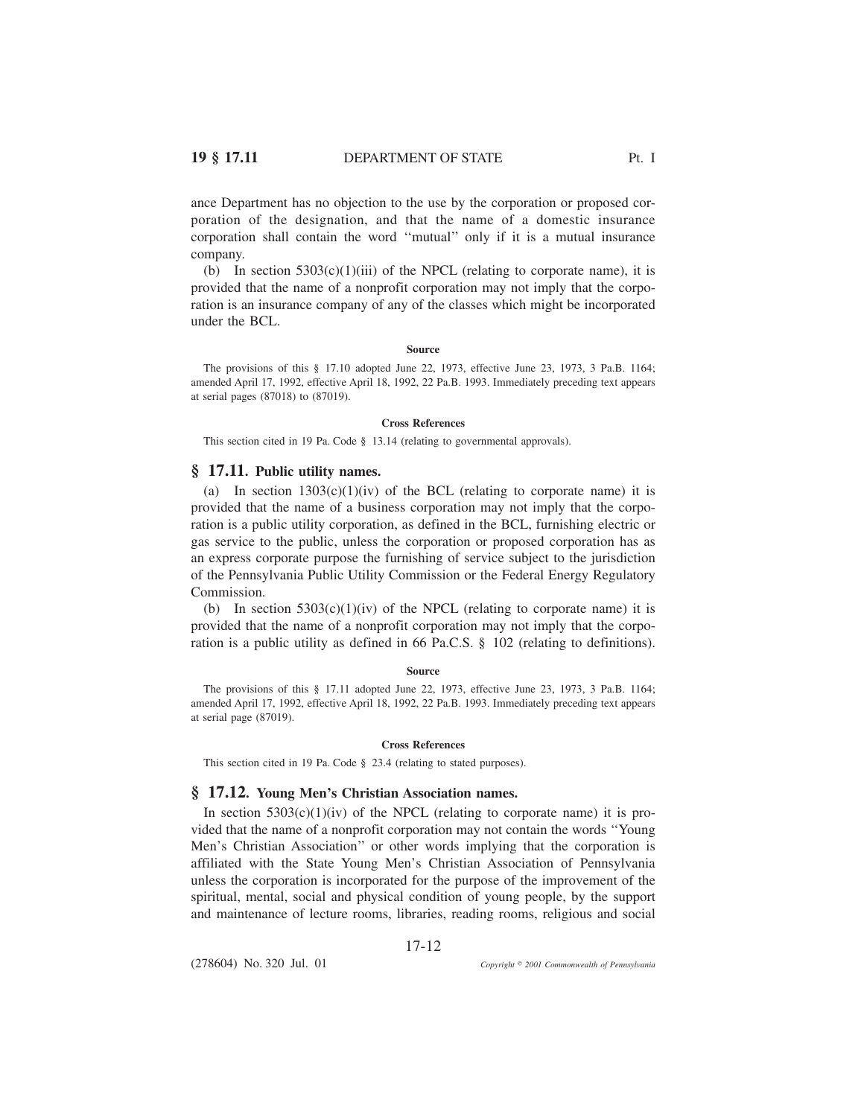ance Department has no objection to the use by the corporation or proposed corporation of the designation, and that the name of a domestic insurance corporation shall contain the word ''mutual'' only if it is a mutual insurance company.

(b) In section  $5303(c)(1)(iii)$  of the NPCL (relating to corporate name), it is provided that the name of a nonprofit corporation may not imply that the corporation is an insurance company of any of the classes which might be incorporated under the BCL.

#### **Source**

The provisions of this § 17.10 adopted June 22, 1973, effective June 23, 1973, 3 Pa.B. 1164; amended April 17, 1992, effective April 18, 1992, 22 Pa.B. 1993. Immediately preceding text appears at serial pages (87018) to (87019).

#### **Cross References**

This section cited in 19 Pa. Code § 13.14 (relating to governmental approvals).

# **§ 17.11. Public utility names.**

(a) In section  $1303(c)(1)(iv)$  of the BCL (relating to corporate name) it is provided that the name of a business corporation may not imply that the corporation is a public utility corporation, as defined in the BCL, furnishing electric or gas service to the public, unless the corporation or proposed corporation has as an express corporate purpose the furnishing of service subject to the jurisdiction of the Pennsylvania Public Utility Commission or the Federal Energy Regulatory Commission.

(b) In section  $5303(c)(1)(iv)$  of the NPCL (relating to corporate name) it is provided that the name of a nonprofit corporation may not imply that the corporation is a public utility as defined in 66 Pa.C.S. § 102 (relating to definitions).

#### **Source**

The provisions of this § 17.11 adopted June 22, 1973, effective June 23, 1973, 3 Pa.B. 1164; amended April 17, 1992, effective April 18, 1992, 22 Pa.B. 1993. Immediately preceding text appears at serial page (87019).

#### **Cross References**

This section cited in 19 Pa. Code § 23.4 (relating to stated purposes).

## **§ 17.12. Young Men's Christian Association names.**

In section  $5303(c)(1)(iv)$  of the NPCL (relating to corporate name) it is provided that the name of a nonprofit corporation may not contain the words ''Young Men's Christian Association'' or other words implying that the corporation is affiliated with the State Young Men's Christian Association of Pennsylvania unless the corporation is incorporated for the purpose of the improvement of the spiritual, mental, social and physical condition of young people, by the support and maintenance of lecture rooms, libraries, reading rooms, religious and social

17-12

(278604) No. 320 Jul. 01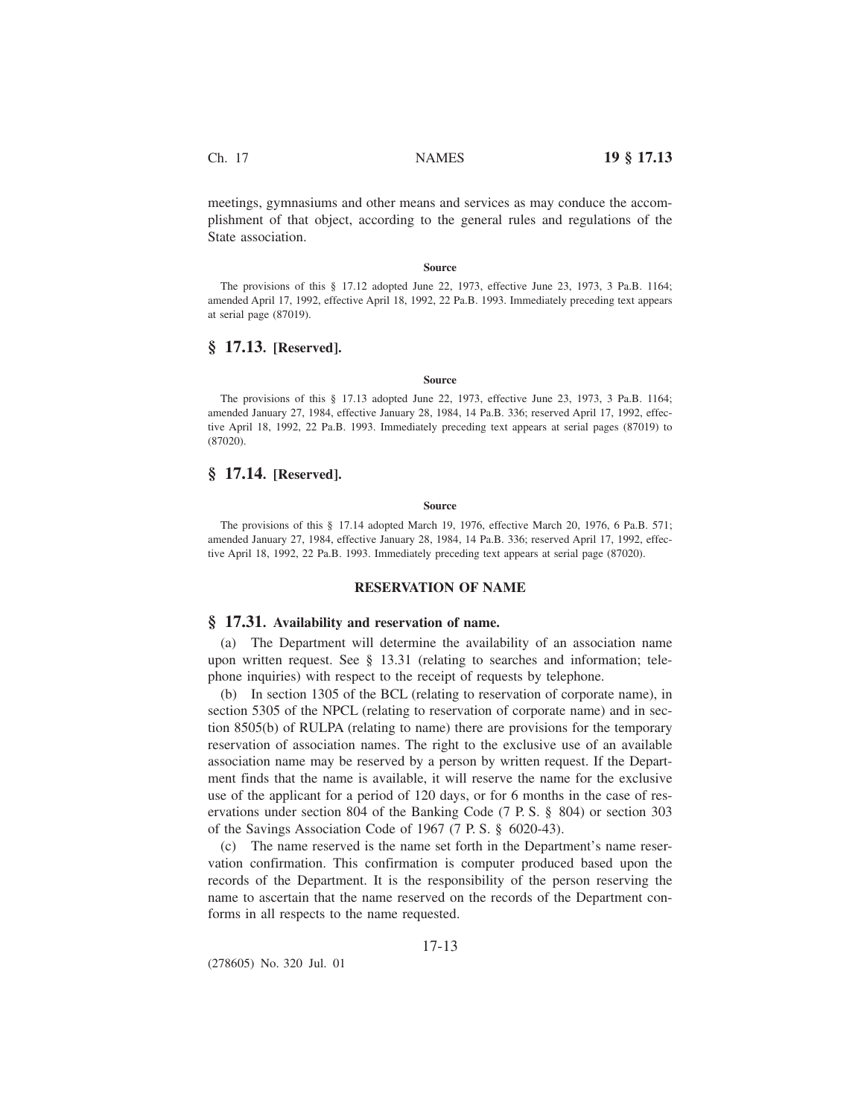meetings, gymnasiums and other means and services as may conduce the accomplishment of that object, according to the general rules and regulations of the State association.

#### **Source**

The provisions of this § 17.12 adopted June 22, 1973, effective June 23, 1973, 3 Pa.B. 1164; amended April 17, 1992, effective April 18, 1992, 22 Pa.B. 1993. Immediately preceding text appears at serial page (87019).

# **§ 17.13. [Reserved].**

### **Source**

The provisions of this § 17.13 adopted June 22, 1973, effective June 23, 1973, 3 Pa.B. 1164; amended January 27, 1984, effective January 28, 1984, 14 Pa.B. 336; reserved April 17, 1992, effective April 18, 1992, 22 Pa.B. 1993. Immediately preceding text appears at serial pages (87019) to (87020).

# **§ 17.14. [Reserved].**

#### **Source**

The provisions of this § 17.14 adopted March 19, 1976, effective March 20, 1976, 6 Pa.B. 571; amended January 27, 1984, effective January 28, 1984, 14 Pa.B. 336; reserved April 17, 1992, effective April 18, 1992, 22 Pa.B. 1993. Immediately preceding text appears at serial page (87020).

## **RESERVATION OF NAME**

### **§ 17.31. Availability and reservation of name.**

(a) The Department will determine the availability of an association name upon written request. See § 13.31 (relating to searches and information; telephone inquiries) with respect to the receipt of requests by telephone.

(b) In section 1305 of the BCL (relating to reservation of corporate name), in section 5305 of the NPCL (relating to reservation of corporate name) and in section 8505(b) of RULPA (relating to name) there are provisions for the temporary reservation of association names. The right to the exclusive use of an available association name may be reserved by a person by written request. If the Department finds that the name is available, it will reserve the name for the exclusive use of the applicant for a period of 120 days, or for 6 months in the case of reservations under section 804 of the Banking Code (7 P. S. § 804) or section 303 of the Savings Association Code of 1967 (7 P. S. § 6020-43).

(c) The name reserved is the name set forth in the Department's name reservation confirmation. This confirmation is computer produced based upon the records of the Department. It is the responsibility of the person reserving the name to ascertain that the name reserved on the records of the Department conforms in all respects to the name requested.

17-13

(278605) No. 320 Jul. 01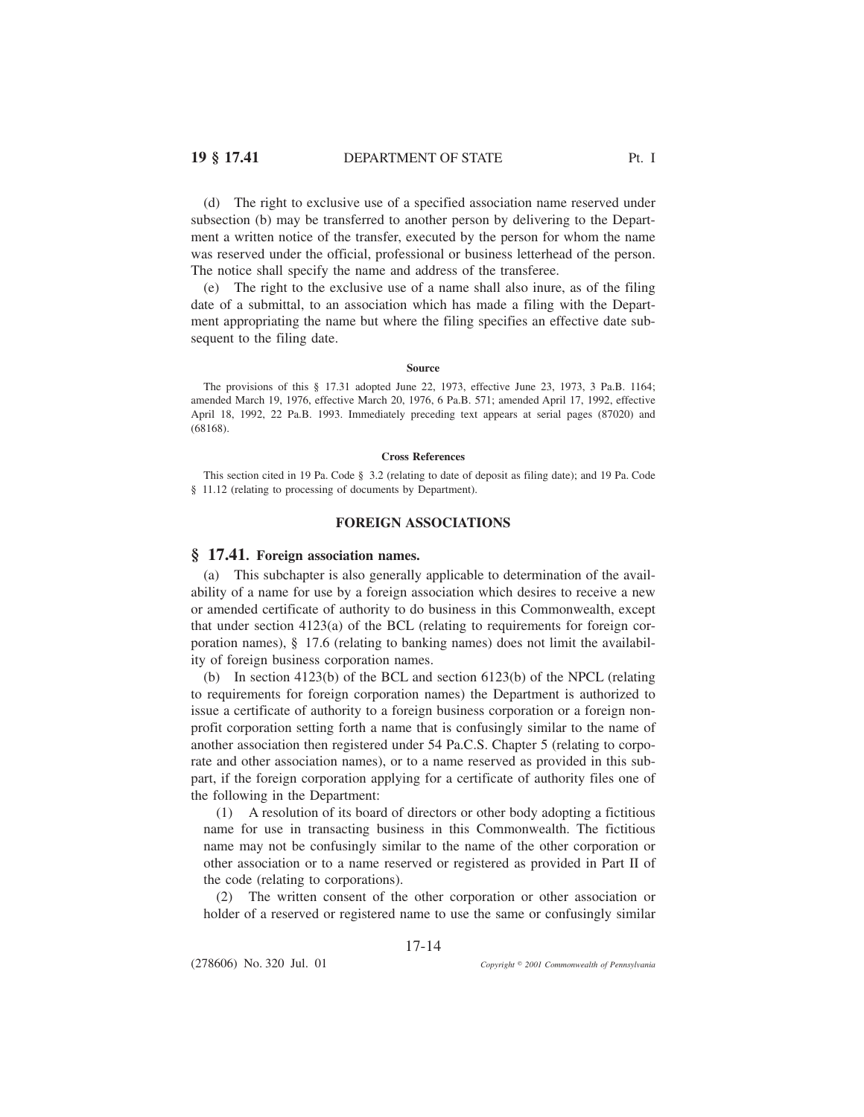(d) The right to exclusive use of a specified association name reserved under subsection (b) may be transferred to another person by delivering to the Department a written notice of the transfer, executed by the person for whom the name was reserved under the official, professional or business letterhead of the person. The notice shall specify the name and address of the transferee.

(e) The right to the exclusive use of a name shall also inure, as of the filing date of a submittal, to an association which has made a filing with the Department appropriating the name but where the filing specifies an effective date subsequent to the filing date.

#### **Source**

The provisions of this § 17.31 adopted June 22, 1973, effective June 23, 1973, 3 Pa.B. 1164; amended March 19, 1976, effective March 20, 1976, 6 Pa.B. 571; amended April 17, 1992, effective April 18, 1992, 22 Pa.B. 1993. Immediately preceding text appears at serial pages (87020) and (68168).

### **Cross References**

This section cited in 19 Pa. Code § 3.2 (relating to date of deposit as filing date); and 19 Pa. Code § 11.12 (relating to processing of documents by Department).

## **FOREIGN ASSOCIATIONS**

## **§ 17.41. Foreign association names.**

(a) This subchapter is also generally applicable to determination of the availability of a name for use by a foreign association which desires to receive a new or amended certificate of authority to do business in this Commonwealth, except that under section  $4123(a)$  of the BCL (relating to requirements for foreign corporation names), § 17.6 (relating to banking names) does not limit the availability of foreign business corporation names.

(b) In section 4123(b) of the BCL and section 6123(b) of the NPCL (relating to requirements for foreign corporation names) the Department is authorized to issue a certificate of authority to a foreign business corporation or a foreign nonprofit corporation setting forth a name that is confusingly similar to the name of another association then registered under 54 Pa.C.S. Chapter 5 (relating to corporate and other association names), or to a name reserved as provided in this subpart, if the foreign corporation applying for a certificate of authority files one of the following in the Department:

(1) A resolution of its board of directors or other body adopting a fictitious name for use in transacting business in this Commonwealth. The fictitious name may not be confusingly similar to the name of the other corporation or other association or to a name reserved or registered as provided in Part II of the code (relating to corporations).

(2) The written consent of the other corporation or other association or holder of a reserved or registered name to use the same or confusingly similar

17-14

(278606) No. 320 Jul. 01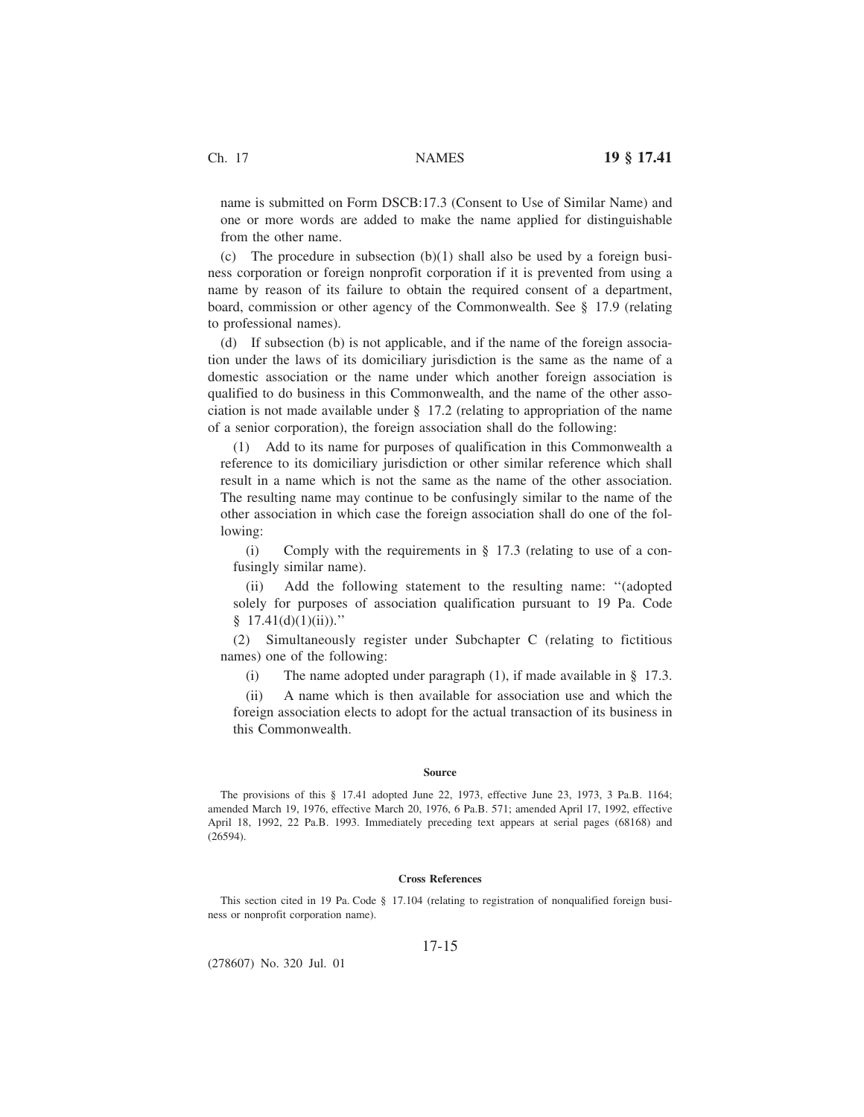name is submitted on Form DSCB:17.3 (Consent to Use of Similar Name) and one or more words are added to make the name applied for distinguishable from the other name.

(c) The procedure in subsection  $(b)(1)$  shall also be used by a foreign business corporation or foreign nonprofit corporation if it is prevented from using a name by reason of its failure to obtain the required consent of a department, board, commission or other agency of the Commonwealth. See § 17.9 (relating to professional names).

(d) If subsection (b) is not applicable, and if the name of the foreign association under the laws of its domiciliary jurisdiction is the same as the name of a domestic association or the name under which another foreign association is qualified to do business in this Commonwealth, and the name of the other association is not made available under § 17.2 (relating to appropriation of the name of a senior corporation), the foreign association shall do the following:

(1) Add to its name for purposes of qualification in this Commonwealth a reference to its domiciliary jurisdiction or other similar reference which shall result in a name which is not the same as the name of the other association. The resulting name may continue to be confusingly similar to the name of the other association in which case the foreign association shall do one of the following:

(i) Comply with the requirements in  $\S$  17.3 (relating to use of a confusingly similar name).

(ii) Add the following statement to the resulting name: ''(adopted solely for purposes of association qualification pursuant to 19 Pa. Code  $§ 17.41(d)(1)(ii))$ ."

(2) Simultaneously register under Subchapter C (relating to fictitious names) one of the following:

(i) The name adopted under paragraph (1), if made available in  $\S$  17.3.

(ii) A name which is then available for association use and which the foreign association elects to adopt for the actual transaction of its business in this Commonwealth.

#### **Source**

The provisions of this § 17.41 adopted June 22, 1973, effective June 23, 1973, 3 Pa.B. 1164; amended March 19, 1976, effective March 20, 1976, 6 Pa.B. 571; amended April 17, 1992, effective April 18, 1992, 22 Pa.B. 1993. Immediately preceding text appears at serial pages (68168) and (26594).

### **Cross References**

This section cited in 19 Pa. Code § 17.104 (relating to registration of nonqualified foreign business or nonprofit corporation name).

### 17-15

(278607) No. 320 Jul. 01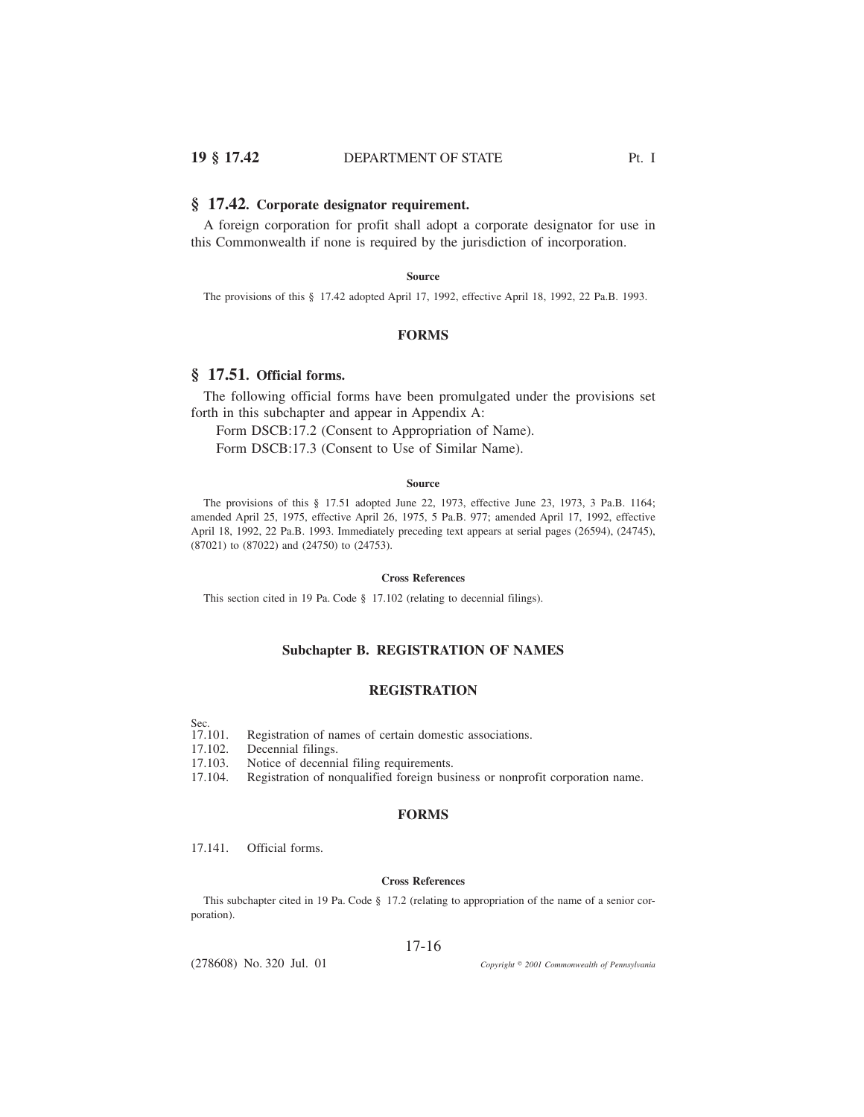## **§ 17.42. Corporate designator requirement.**

A foreign corporation for profit shall adopt a corporate designator for use in this Commonwealth if none is required by the jurisdiction of incorporation.

### **Source**

The provisions of this § 17.42 adopted April 17, 1992, effective April 18, 1992, 22 Pa.B. 1993.

## **FORMS**

# **§ 17.51. Official forms.**

The following official forms have been promulgated under the provisions set forth in this subchapter and appear in Appendix A:

Form DSCB:17.2 (Consent to Appropriation of Name).

Form DSCB:17.3 (Consent to Use of Similar Name).

#### **Source**

The provisions of this § 17.51 adopted June 22, 1973, effective June 23, 1973, 3 Pa.B. 1164; amended April 25, 1975, effective April 26, 1975, 5 Pa.B. 977; amended April 17, 1992, effective April 18, 1992, 22 Pa.B. 1993. Immediately preceding text appears at serial pages (26594), (24745), (87021) to (87022) and (24750) to (24753).

### **Cross References**

This section cited in 19 Pa. Code § 17.102 (relating to decennial filings).

# **Subchapter B. REGISTRATION OF NAMES**

# **REGISTRATION**

- Sec.
- 17.101. Registration of names of certain domestic associations.
- 17.102. Decennial filings.
- 17.103. Notice of decennial filing requirements.
- 17.104. Registration of nonqualified foreign business or nonprofit corporation name.

## **FORMS**

17.141. Official forms.

# **Cross References**

This subchapter cited in 19 Pa. Code § 17.2 (relating to appropriation of the name of a senior corporation).

## 17-16

(278608) No. 320 Jul. 01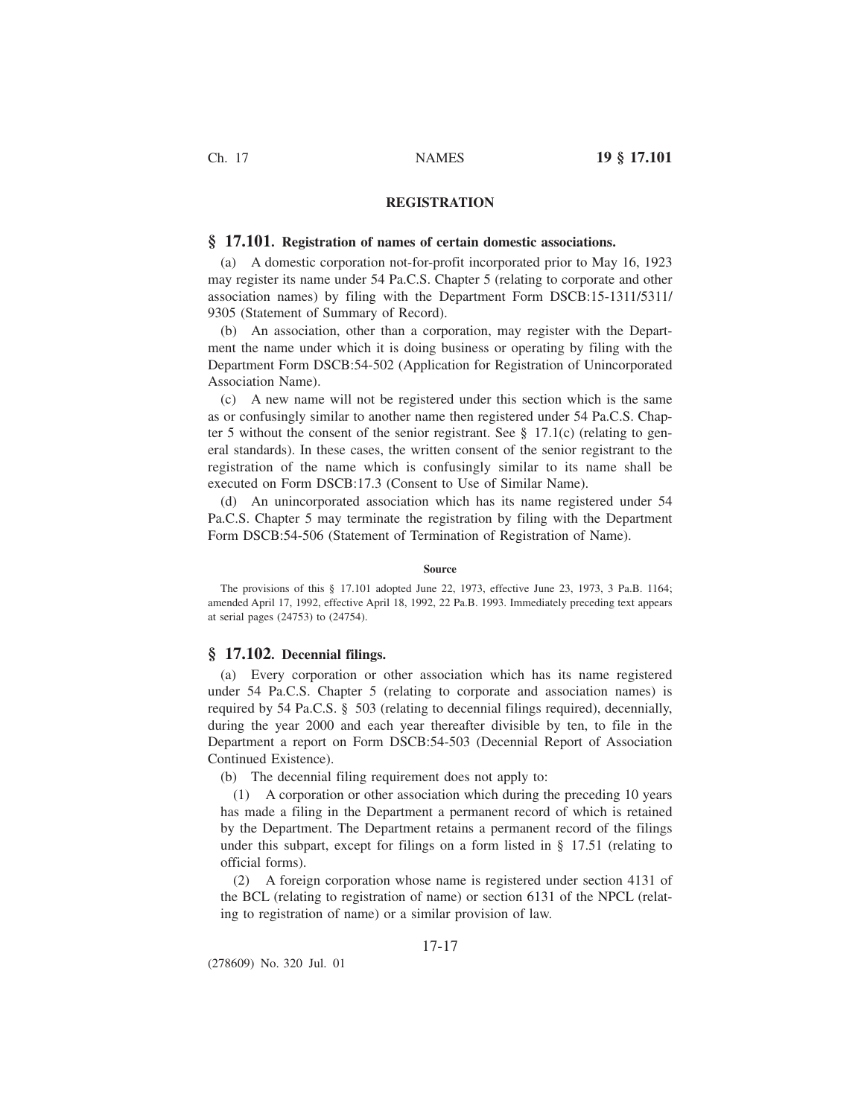# **REGISTRATION**

## **§ 17.101. Registration of names of certain domestic associations.**

(a) A domestic corporation not-for-profit incorporated prior to May 16, 1923 may register its name under 54 Pa.C.S. Chapter 5 (relating to corporate and other association names) by filing with the Department Form DSCB:15-1311/5311/ 9305 (Statement of Summary of Record).

(b) An association, other than a corporation, may register with the Department the name under which it is doing business or operating by filing with the Department Form DSCB:54-502 (Application for Registration of Unincorporated Association Name).

(c) A new name will not be registered under this section which is the same as or confusingly similar to another name then registered under 54 Pa.C.S. Chapter 5 without the consent of the senior registrant. See  $\S$  17.1(c) (relating to general standards). In these cases, the written consent of the senior registrant to the registration of the name which is confusingly similar to its name shall be executed on Form DSCB:17.3 (Consent to Use of Similar Name).

(d) An unincorporated association which has its name registered under 54 Pa.C.S. Chapter 5 may terminate the registration by filing with the Department Form DSCB:54-506 (Statement of Termination of Registration of Name).

### **Source**

The provisions of this § 17.101 adopted June 22, 1973, effective June 23, 1973, 3 Pa.B. 1164; amended April 17, 1992, effective April 18, 1992, 22 Pa.B. 1993. Immediately preceding text appears at serial pages (24753) to (24754).

## **§ 17.102. Decennial filings.**

(a) Every corporation or other association which has its name registered under 54 Pa.C.S. Chapter 5 (relating to corporate and association names) is required by 54 Pa.C.S. § 503 (relating to decennial filings required), decennially, during the year 2000 and each year thereafter divisible by ten, to file in the Department a report on Form DSCB:54-503 (Decennial Report of Association Continued Existence).

(b) The decennial filing requirement does not apply to:

(1) A corporation or other association which during the preceding 10 years has made a filing in the Department a permanent record of which is retained by the Department. The Department retains a permanent record of the filings under this subpart, except for filings on a form listed in § 17.51 (relating to official forms).

(2) A foreign corporation whose name is registered under section 4131 of the BCL (relating to registration of name) or section 6131 of the NPCL (relating to registration of name) or a similar provision of law.

## 17-17

(278609) No. 320 Jul. 01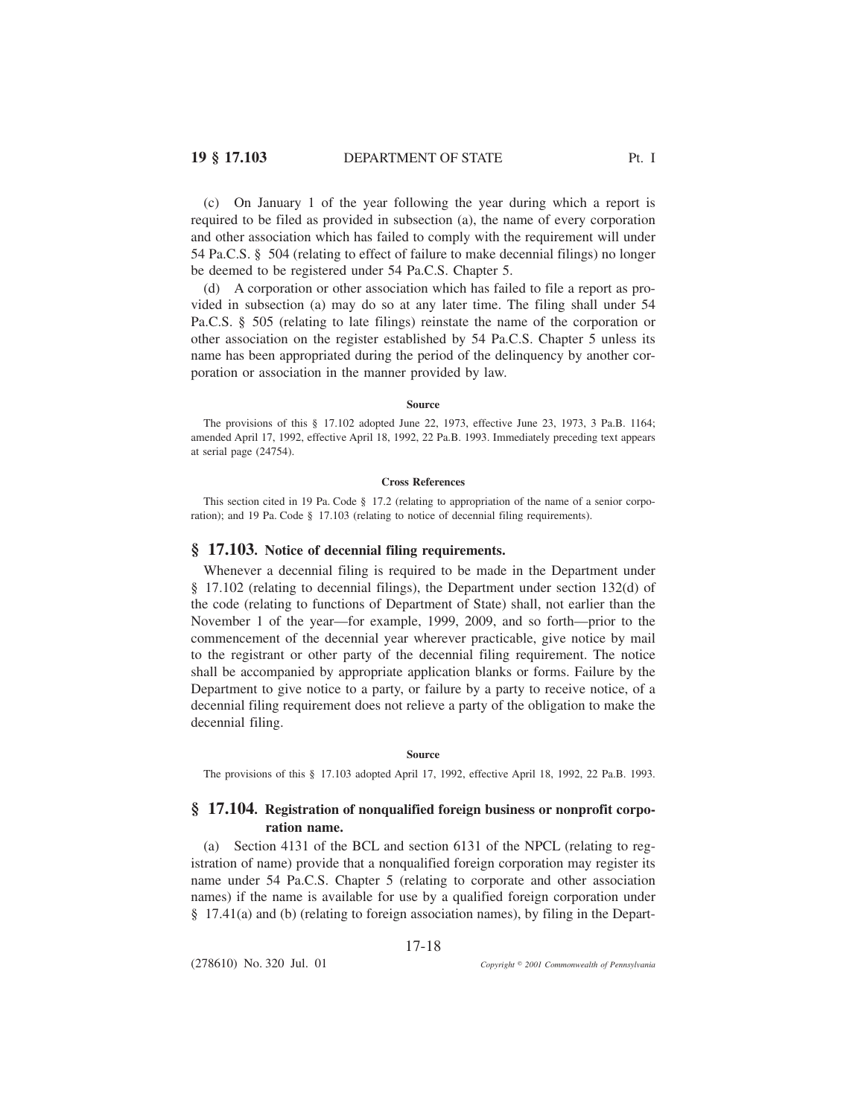(c) On January 1 of the year following the year during which a report is required to be filed as provided in subsection (a), the name of every corporation and other association which has failed to comply with the requirement will under 54 Pa.C.S. § 504 (relating to effect of failure to make decennial filings) no longer be deemed to be registered under 54 Pa.C.S. Chapter 5.

(d) A corporation or other association which has failed to file a report as provided in subsection (a) may do so at any later time. The filing shall under 54 Pa.C.S. § 505 (relating to late filings) reinstate the name of the corporation or other association on the register established by 54 Pa.C.S. Chapter 5 unless its name has been appropriated during the period of the delinquency by another corporation or association in the manner provided by law.

#### **Source**

The provisions of this § 17.102 adopted June 22, 1973, effective June 23, 1973, 3 Pa.B. 1164; amended April 17, 1992, effective April 18, 1992, 22 Pa.B. 1993. Immediately preceding text appears at serial page (24754).

#### **Cross References**

This section cited in 19 Pa. Code § 17.2 (relating to appropriation of the name of a senior corporation); and 19 Pa. Code § 17.103 (relating to notice of decennial filing requirements).

## **§ 17.103. Notice of decennial filing requirements.**

Whenever a decennial filing is required to be made in the Department under § 17.102 (relating to decennial filings), the Department under section 132(d) of the code (relating to functions of Department of State) shall, not earlier than the November 1 of the year—for example, 1999, 2009, and so forth—prior to the commencement of the decennial year wherever practicable, give notice by mail to the registrant or other party of the decennial filing requirement. The notice shall be accompanied by appropriate application blanks or forms. Failure by the Department to give notice to a party, or failure by a party to receive notice, of a decennial filing requirement does not relieve a party of the obligation to make the decennial filing.

#### **Source**

The provisions of this § 17.103 adopted April 17, 1992, effective April 18, 1992, 22 Pa.B. 1993.

# **§ 17.104. Registration of nonqualified foreign business or nonprofit corporation name.**

(a) Section 4131 of the BCL and section 6131 of the NPCL (relating to registration of name) provide that a nonqualified foreign corporation may register its name under 54 Pa.C.S. Chapter 5 (relating to corporate and other association names) if the name is available for use by a qualified foreign corporation under § 17.41(a) and (b) (relating to foreign association names), by filing in the Depart-

17-18

(278610) No. 320 Jul. 01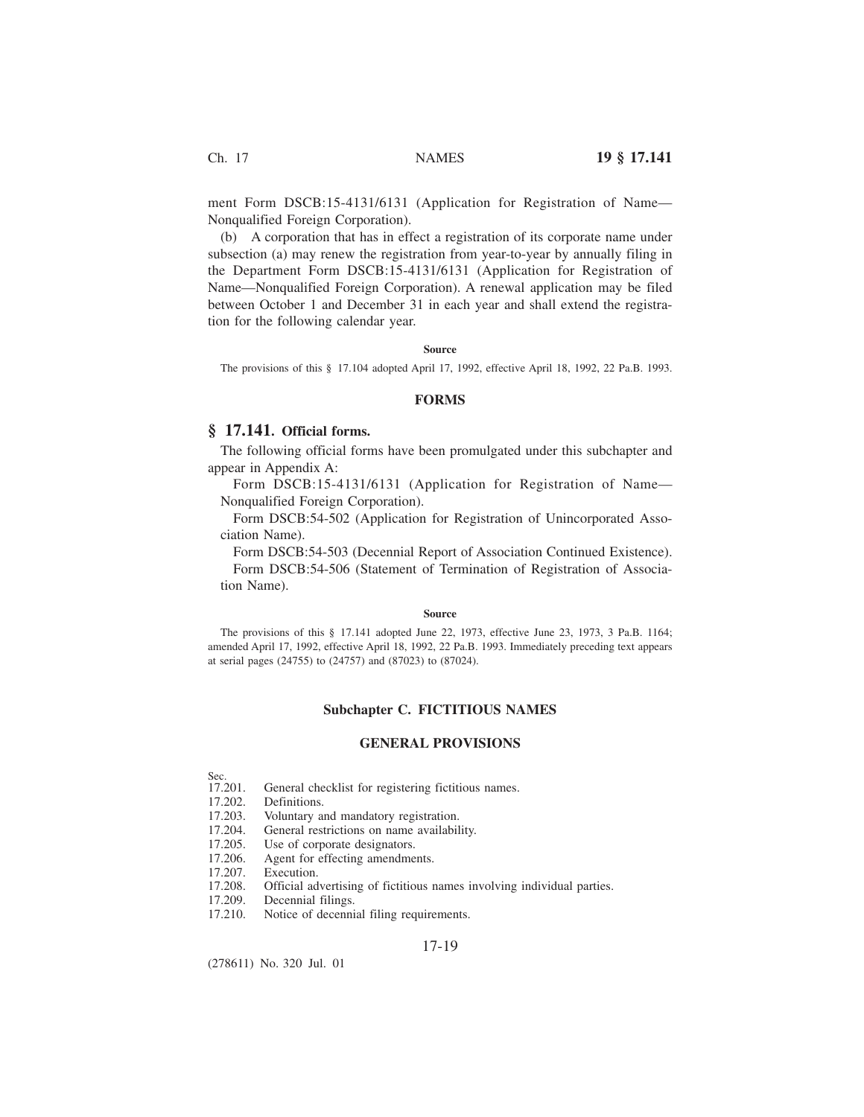ment Form DSCB:15-4131/6131 (Application for Registration of Name— Nonqualified Foreign Corporation).

(b) A corporation that has in effect a registration of its corporate name under subsection (a) may renew the registration from year-to-year by annually filing in the Department Form DSCB:15-4131/6131 (Application for Registration of Name—Nonqualified Foreign Corporation). A renewal application may be filed between October 1 and December 31 in each year and shall extend the registration for the following calendar year.

#### **Source**

The provisions of this § 17.104 adopted April 17, 1992, effective April 18, 1992, 22 Pa.B. 1993.

### **FORMS**

## **§ 17.141. Official forms.**

The following official forms have been promulgated under this subchapter and appear in Appendix A:

Form DSCB:15-4131/6131 (Application for Registration of Name— Nonqualified Foreign Corporation).

Form DSCB:54-502 (Application for Registration of Unincorporated Association Name).

Form DSCB:54-503 (Decennial Report of Association Continued Existence). Form DSCB:54-506 (Statement of Termination of Registration of Association Name).

#### **Source**

The provisions of this § 17.141 adopted June 22, 1973, effective June 23, 1973, 3 Pa.B. 1164; amended April 17, 1992, effective April 18, 1992, 22 Pa.B. 1993. Immediately preceding text appears at serial pages (24755) to (24757) and (87023) to (87024).

## **Subchapter C. FICTITIOUS NAMES**

## **GENERAL PROVISIONS**

- Sec.<br>17.201. 17.201. General checklist for registering fictitious names.<br>17.202. Definitions.
- Definitions.
- 17.203. Voluntary and mandatory registration.
- 17.204. General restrictions on name availability.
- 17.205. Use of corporate designators.
- 17.206. Agent for effecting amendments.
- 17.207. Execution.
- 17.208. Official advertising of fictitious names involving individual parties.
- 17.209. Decennial filings.
- 17.210. Notice of decennial filing requirements.

### 17-19

(278611) No. 320 Jul. 01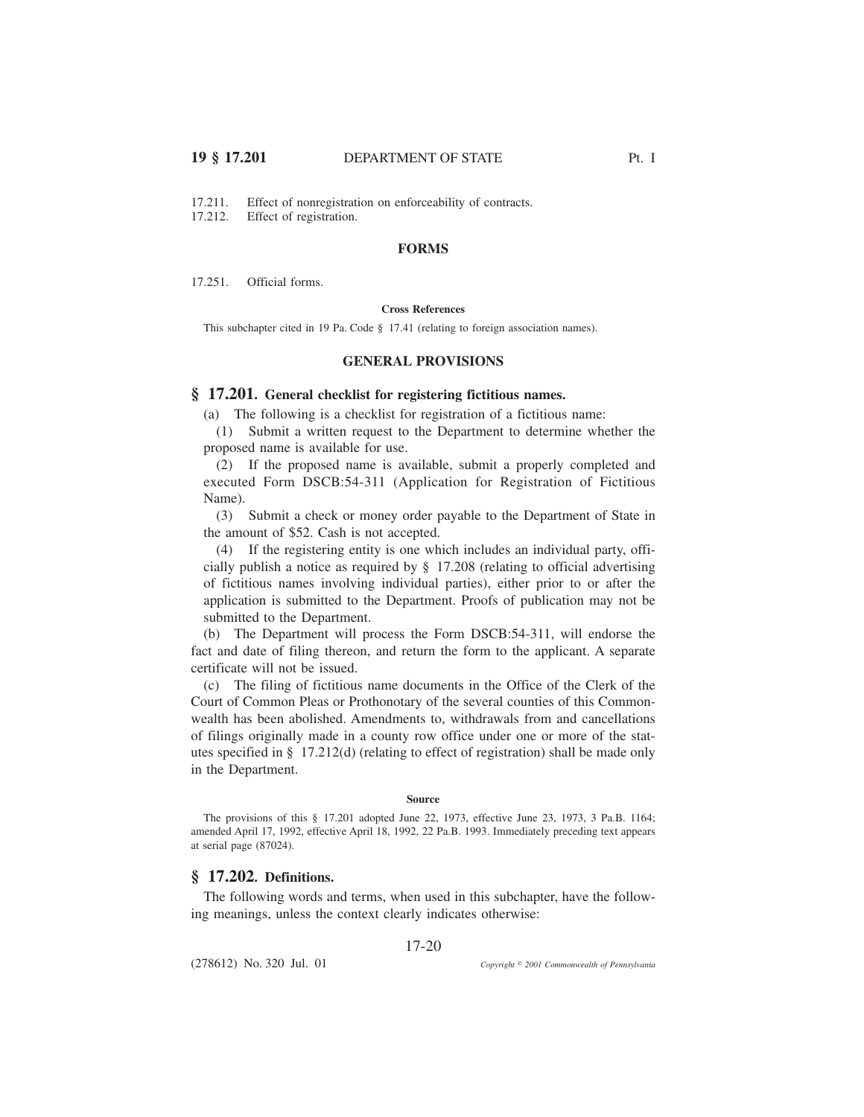17.211. Effect of nonregistration on enforceability of contracts.<br>17.212. Effect of registration.

Effect of registration.

## **FORMS**

17.251. Official forms.

## **Cross References**

This subchapter cited in 19 Pa. Code § 17.41 (relating to foreign association names).

## **GENERAL PROVISIONS**

# **§ 17.201. General checklist for registering fictitious names.**

(a) The following is a checklist for registration of a fictitious name:

(1) Submit a written request to the Department to determine whether the proposed name is available for use.

(2) If the proposed name is available, submit a properly completed and executed Form DSCB:54-311 (Application for Registration of Fictitious Name).

(3) Submit a check or money order payable to the Department of State in the amount of \$52. Cash is not accepted.

(4) If the registering entity is one which includes an individual party, officially publish a notice as required by § 17.208 (relating to official advertising of fictitious names involving individual parties), either prior to or after the application is submitted to the Department. Proofs of publication may not be submitted to the Department.

(b) The Department will process the Form DSCB:54-311, will endorse the fact and date of filing thereon, and return the form to the applicant. A separate certificate will not be issued.

(c) The filing of fictitious name documents in the Office of the Clerk of the Court of Common Pleas or Prothonotary of the several counties of this Commonwealth has been abolished. Amendments to, withdrawals from and cancellations of filings originally made in a county row office under one or more of the statutes specified in § 17.212(d) (relating to effect of registration) shall be made only in the Department.

#### **Source**

The provisions of this § 17.201 adopted June 22, 1973, effective June 23, 1973, 3 Pa.B. 1164; amended April 17, 1992, effective April 18, 1992, 22 Pa.B. 1993. Immediately preceding text appears at serial page (87024).

# **§ 17.202. Definitions.**

The following words and terms, when used in this subchapter, have the following meanings, unless the context clearly indicates otherwise:

17-20

(278612) No. 320 Jul. 01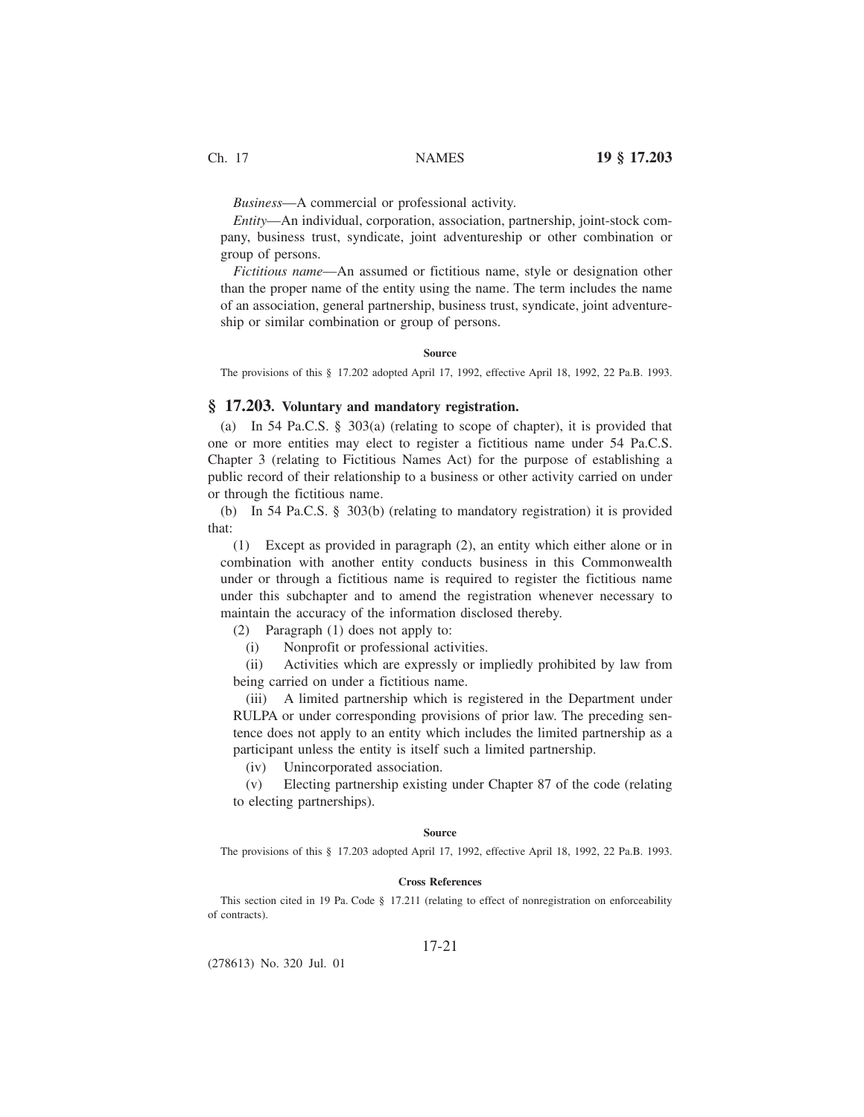*Business*—A commercial or professional activity.

*Entity*—An individual, corporation, association, partnership, joint-stock company, business trust, syndicate, joint adventureship or other combination or group of persons.

*Fictitious name*—An assumed or fictitious name, style or designation other than the proper name of the entity using the name. The term includes the name of an association, general partnership, business trust, syndicate, joint adventureship or similar combination or group of persons.

#### **Source**

The provisions of this § 17.202 adopted April 17, 1992, effective April 18, 1992, 22 Pa.B. 1993.

## **§ 17.203. Voluntary and mandatory registration.**

(a) In 54 Pa.C.S. § 303(a) (relating to scope of chapter), it is provided that one or more entities may elect to register a fictitious name under 54 Pa.C.S. Chapter 3 (relating to Fictitious Names Act) for the purpose of establishing a public record of their relationship to a business or other activity carried on under or through the fictitious name.

(b) In 54 Pa.C.S. § 303(b) (relating to mandatory registration) it is provided that:

(1) Except as provided in paragraph (2), an entity which either alone or in combination with another entity conducts business in this Commonwealth under or through a fictitious name is required to register the fictitious name under this subchapter and to amend the registration whenever necessary to maintain the accuracy of the information disclosed thereby.

(2) Paragraph (1) does not apply to:

(i) Nonprofit or professional activities.

(ii) Activities which are expressly or impliedly prohibited by law from being carried on under a fictitious name.

(iii) A limited partnership which is registered in the Department under RULPA or under corresponding provisions of prior law. The preceding sentence does not apply to an entity which includes the limited partnership as a participant unless the entity is itself such a limited partnership.

(iv) Unincorporated association.

(v) Electing partnership existing under Chapter 87 of the code (relating to electing partnerships).

#### **Source**

The provisions of this § 17.203 adopted April 17, 1992, effective April 18, 1992, 22 Pa.B. 1993.

## **Cross References**

This section cited in 19 Pa. Code § 17.211 (relating to effect of nonregistration on enforceability of contracts).

### 17-21

(278613) No. 320 Jul. 01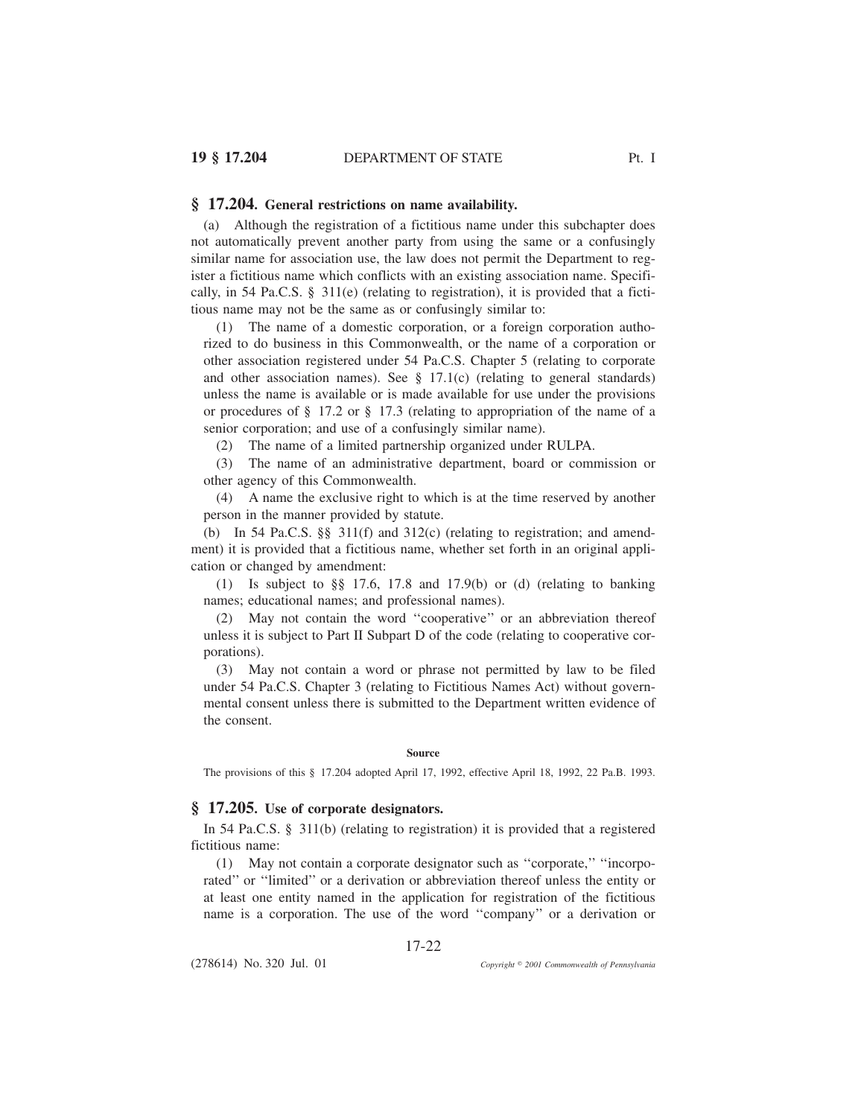## **§ 17.204. General restrictions on name availability.**

(a) Although the registration of a fictitious name under this subchapter does not automatically prevent another party from using the same or a confusingly similar name for association use, the law does not permit the Department to register a fictitious name which conflicts with an existing association name. Specifically, in 54 Pa.C.S. § 311(e) (relating to registration), it is provided that a fictitious name may not be the same as or confusingly similar to:

(1) The name of a domestic corporation, or a foreign corporation authorized to do business in this Commonwealth, or the name of a corporation or other association registered under 54 Pa.C.S. Chapter 5 (relating to corporate and other association names). See  $\S$  17.1(c) (relating to general standards) unless the name is available or is made available for use under the provisions or procedures of § 17.2 or § 17.3 (relating to appropriation of the name of a senior corporation; and use of a confusingly similar name).

(2) The name of a limited partnership organized under RULPA.

(3) The name of an administrative department, board or commission or other agency of this Commonwealth.

(4) A name the exclusive right to which is at the time reserved by another person in the manner provided by statute.

(b) In 54 Pa.C.S. §§ 311(f) and 312(c) (relating to registration; and amendment) it is provided that a fictitious name, whether set forth in an original application or changed by amendment:

(1) Is subject to  $\S$ § 17.6, 17.8 and 17.9(b) or (d) (relating to banking names; educational names; and professional names).

(2) May not contain the word ''cooperative'' or an abbreviation thereof unless it is subject to Part II Subpart D of the code (relating to cooperative corporations).

(3) May not contain a word or phrase not permitted by law to be filed under 54 Pa.C.S. Chapter 3 (relating to Fictitious Names Act) without governmental consent unless there is submitted to the Department written evidence of the consent.

### **Source**

The provisions of this § 17.204 adopted April 17, 1992, effective April 18, 1992, 22 Pa.B. 1993.

## **§ 17.205. Use of corporate designators.**

In 54 Pa.C.S. § 311(b) (relating to registration) it is provided that a registered fictitious name:

(1) May not contain a corporate designator such as ''corporate,'' ''incorporated'' or ''limited'' or a derivation or abbreviation thereof unless the entity or at least one entity named in the application for registration of the fictitious name is a corporation. The use of the word ''company'' or a derivation or

17-22

(278614) No. 320 Jul. 01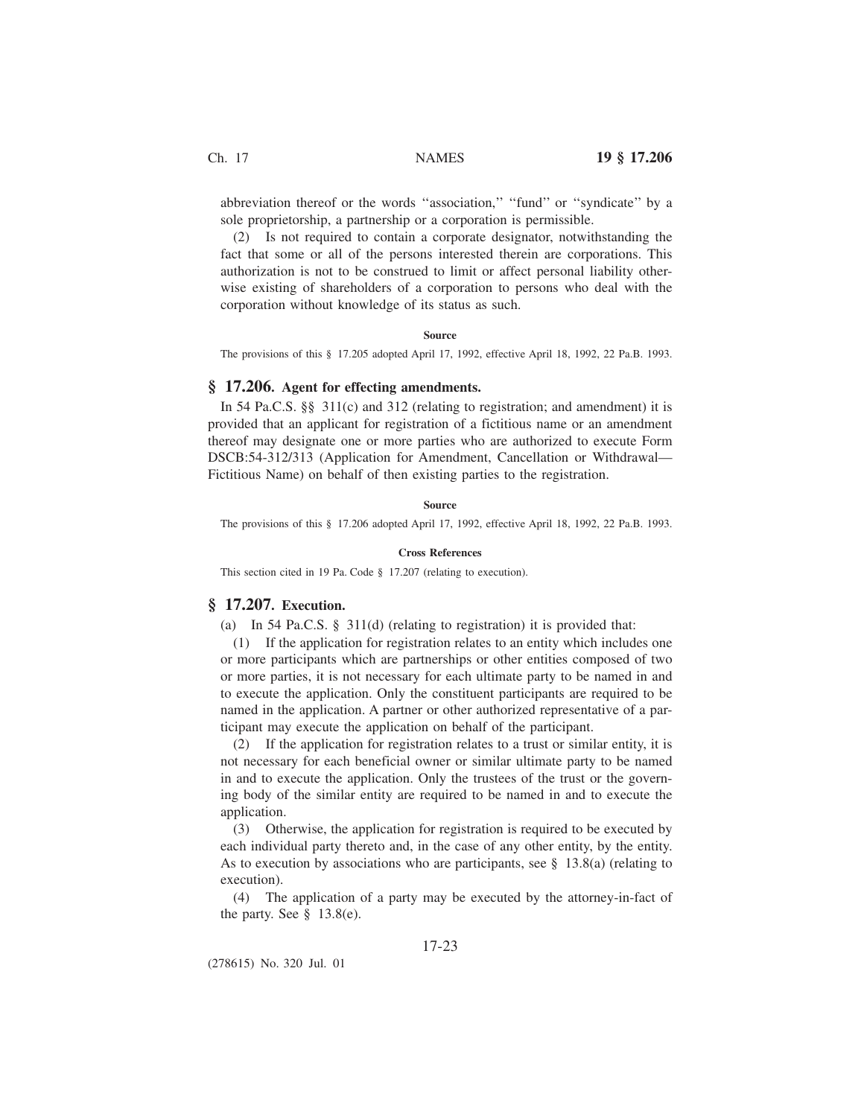abbreviation thereof or the words ''association,'' ''fund'' or ''syndicate'' by a sole proprietorship, a partnership or a corporation is permissible.

(2) Is not required to contain a corporate designator, notwithstanding the fact that some or all of the persons interested therein are corporations. This authorization is not to be construed to limit or affect personal liability otherwise existing of shareholders of a corporation to persons who deal with the corporation without knowledge of its status as such.

### **Source**

The provisions of this § 17.205 adopted April 17, 1992, effective April 18, 1992, 22 Pa.B. 1993.

## **§ 17.206. Agent for effecting amendments.**

In 54 Pa.C.S. §§ 311(c) and 312 (relating to registration; and amendment) it is provided that an applicant for registration of a fictitious name or an amendment thereof may designate one or more parties who are authorized to execute Form DSCB:54-312/313 (Application for Amendment, Cancellation or Withdrawal— Fictitious Name) on behalf of then existing parties to the registration.

### **Source**

The provisions of this § 17.206 adopted April 17, 1992, effective April 18, 1992, 22 Pa.B. 1993.

### **Cross References**

This section cited in 19 Pa. Code § 17.207 (relating to execution).

## **§ 17.207. Execution.**

(a) In 54 Pa.C.S. § 311(d) (relating to registration) it is provided that:

(1) If the application for registration relates to an entity which includes one or more participants which are partnerships or other entities composed of two or more parties, it is not necessary for each ultimate party to be named in and to execute the application. Only the constituent participants are required to be named in the application. A partner or other authorized representative of a participant may execute the application on behalf of the participant.

(2) If the application for registration relates to a trust or similar entity, it is not necessary for each beneficial owner or similar ultimate party to be named in and to execute the application. Only the trustees of the trust or the governing body of the similar entity are required to be named in and to execute the application.

(3) Otherwise, the application for registration is required to be executed by each individual party thereto and, in the case of any other entity, by the entity. As to execution by associations who are participants, see § 13.8(a) (relating to execution).

(4) The application of a party may be executed by the attorney-in-fact of the party. See  $\S$  13.8(e).

# 17-23

(278615) No. 320 Jul. 01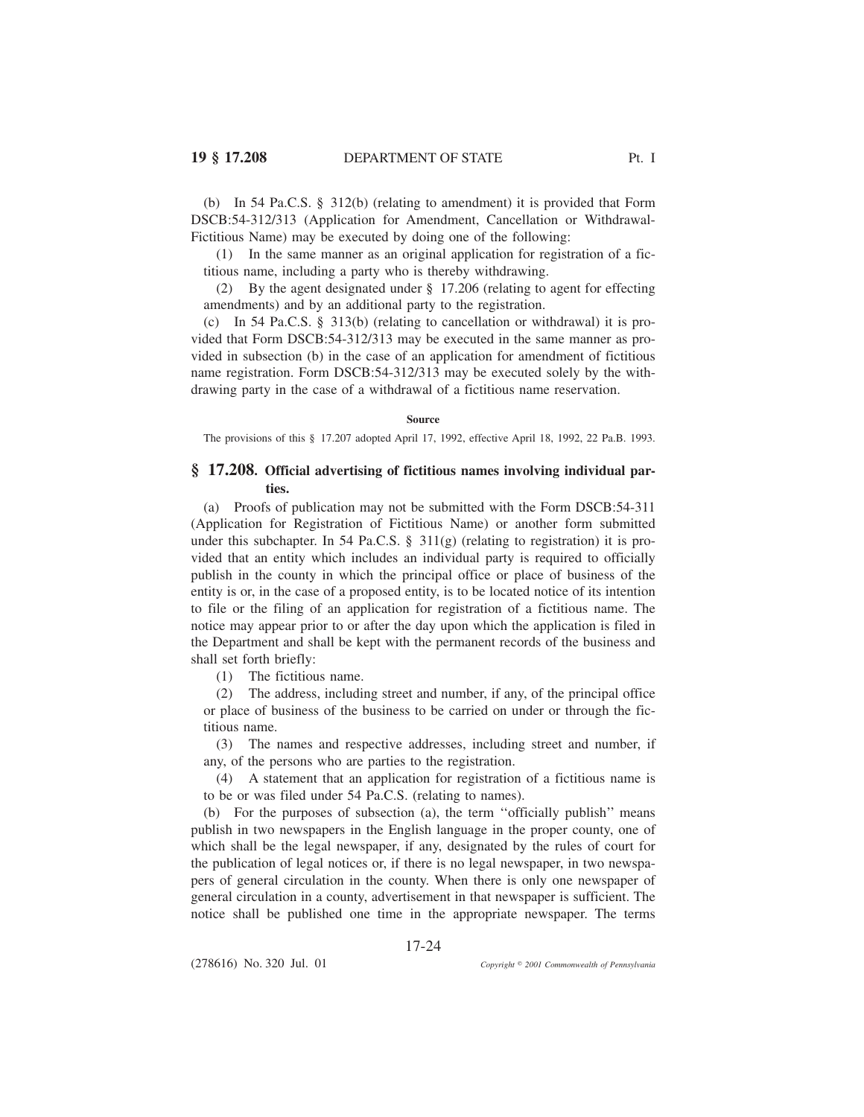(b) In 54 Pa.C.S. § 312(b) (relating to amendment) it is provided that Form DSCB:54-312/313 (Application for Amendment, Cancellation or Withdrawal-Fictitious Name) may be executed by doing one of the following:

(1) In the same manner as an original application for registration of a fictitious name, including a party who is thereby withdrawing.

(2) By the agent designated under § 17.206 (relating to agent for effecting amendments) and by an additional party to the registration.

(c) In 54 Pa.C.S. § 313(b) (relating to cancellation or withdrawal) it is provided that Form DSCB:54-312/313 may be executed in the same manner as provided in subsection (b) in the case of an application for amendment of fictitious name registration. Form DSCB:54-312/313 may be executed solely by the withdrawing party in the case of a withdrawal of a fictitious name reservation.

### **Source**

The provisions of this § 17.207 adopted April 17, 1992, effective April 18, 1992, 22 Pa.B. 1993.

# **§ 17.208. Official advertising of fictitious names involving individual parties.**

(a) Proofs of publication may not be submitted with the Form DSCB:54-311 (Application for Registration of Fictitious Name) or another form submitted under this subchapter. In 54 Pa.C.S.  $\S$  311(g) (relating to registration) it is provided that an entity which includes an individual party is required to officially publish in the county in which the principal office or place of business of the entity is or, in the case of a proposed entity, is to be located notice of its intention to file or the filing of an application for registration of a fictitious name. The notice may appear prior to or after the day upon which the application is filed in the Department and shall be kept with the permanent records of the business and shall set forth briefly:

(1) The fictitious name.

(2) The address, including street and number, if any, of the principal office or place of business of the business to be carried on under or through the fictitious name.

(3) The names and respective addresses, including street and number, if any, of the persons who are parties to the registration.

(4) A statement that an application for registration of a fictitious name is to be or was filed under 54 Pa.C.S. (relating to names).

(b) For the purposes of subsection (a), the term ''officially publish'' means publish in two newspapers in the English language in the proper county, one of which shall be the legal newspaper, if any, designated by the rules of court for the publication of legal notices or, if there is no legal newspaper, in two newspapers of general circulation in the county. When there is only one newspaper of general circulation in a county, advertisement in that newspaper is sufficient. The notice shall be published one time in the appropriate newspaper. The terms

17-24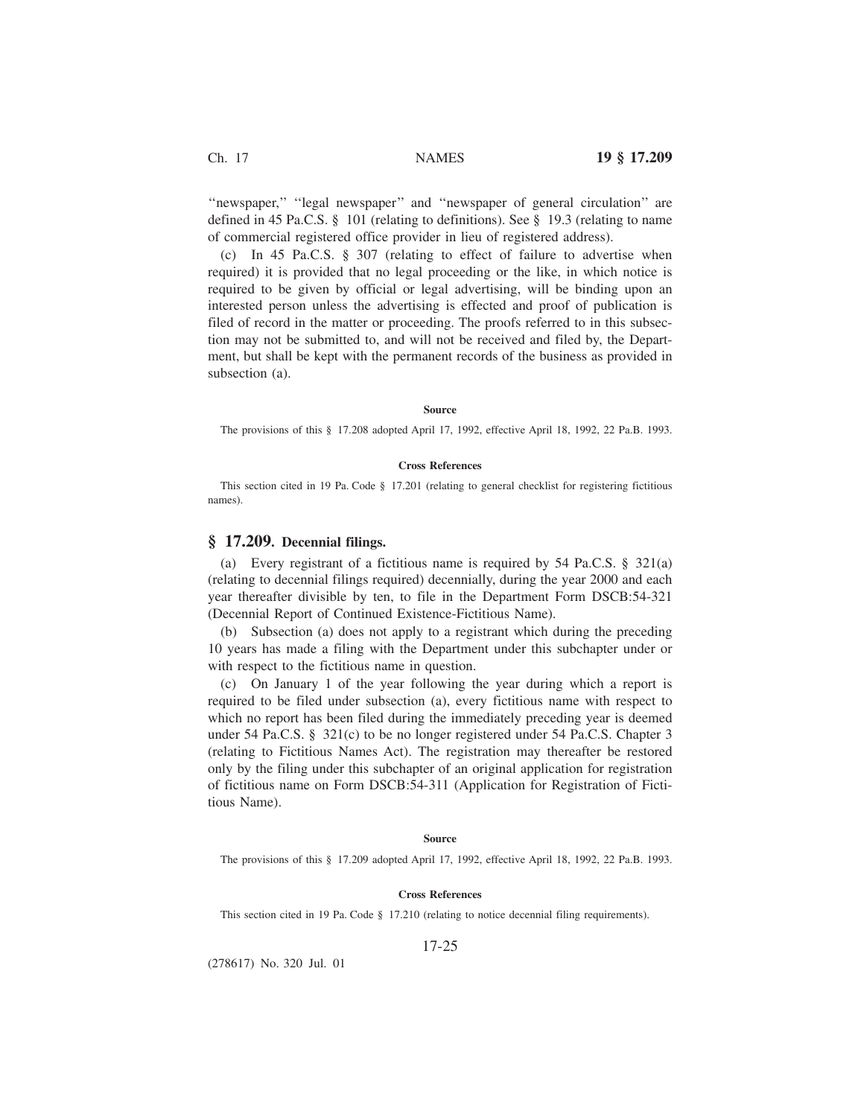''newspaper,'' ''legal newspaper'' and ''newspaper of general circulation'' are defined in 45 Pa.C.S.  $\S$  101 (relating to definitions). See  $\S$  19.3 (relating to name of commercial registered office provider in lieu of registered address).

(c) In 45 Pa.C.S. § 307 (relating to effect of failure to advertise when required) it is provided that no legal proceeding or the like, in which notice is required to be given by official or legal advertising, will be binding upon an interested person unless the advertising is effected and proof of publication is filed of record in the matter or proceeding. The proofs referred to in this subsection may not be submitted to, and will not be received and filed by, the Department, but shall be kept with the permanent records of the business as provided in subsection (a).

### **Source**

The provisions of this § 17.208 adopted April 17, 1992, effective April 18, 1992, 22 Pa.B. 1993.

### **Cross References**

This section cited in 19 Pa. Code § 17.201 (relating to general checklist for registering fictitious names).

# **§ 17.209. Decennial filings.**

(a) Every registrant of a fictitious name is required by 54 Pa.C.S. § 321(a) (relating to decennial filings required) decennially, during the year 2000 and each year thereafter divisible by ten, to file in the Department Form DSCB:54-321 (Decennial Report of Continued Existence-Fictitious Name).

(b) Subsection (a) does not apply to a registrant which during the preceding 10 years has made a filing with the Department under this subchapter under or with respect to the fictitious name in question.

(c) On January 1 of the year following the year during which a report is required to be filed under subsection (a), every fictitious name with respect to which no report has been filed during the immediately preceding year is deemed under 54 Pa.C.S. § 321(c) to be no longer registered under 54 Pa.C.S. Chapter 3 (relating to Fictitious Names Act). The registration may thereafter be restored only by the filing under this subchapter of an original application for registration of fictitious name on Form DSCB:54-311 (Application for Registration of Fictitious Name).

#### **Source**

The provisions of this § 17.209 adopted April 17, 1992, effective April 18, 1992, 22 Pa.B. 1993.

## **Cross References**

This section cited in 19 Pa. Code § 17.210 (relating to notice decennial filing requirements).

## 17-25

(278617) No. 320 Jul. 01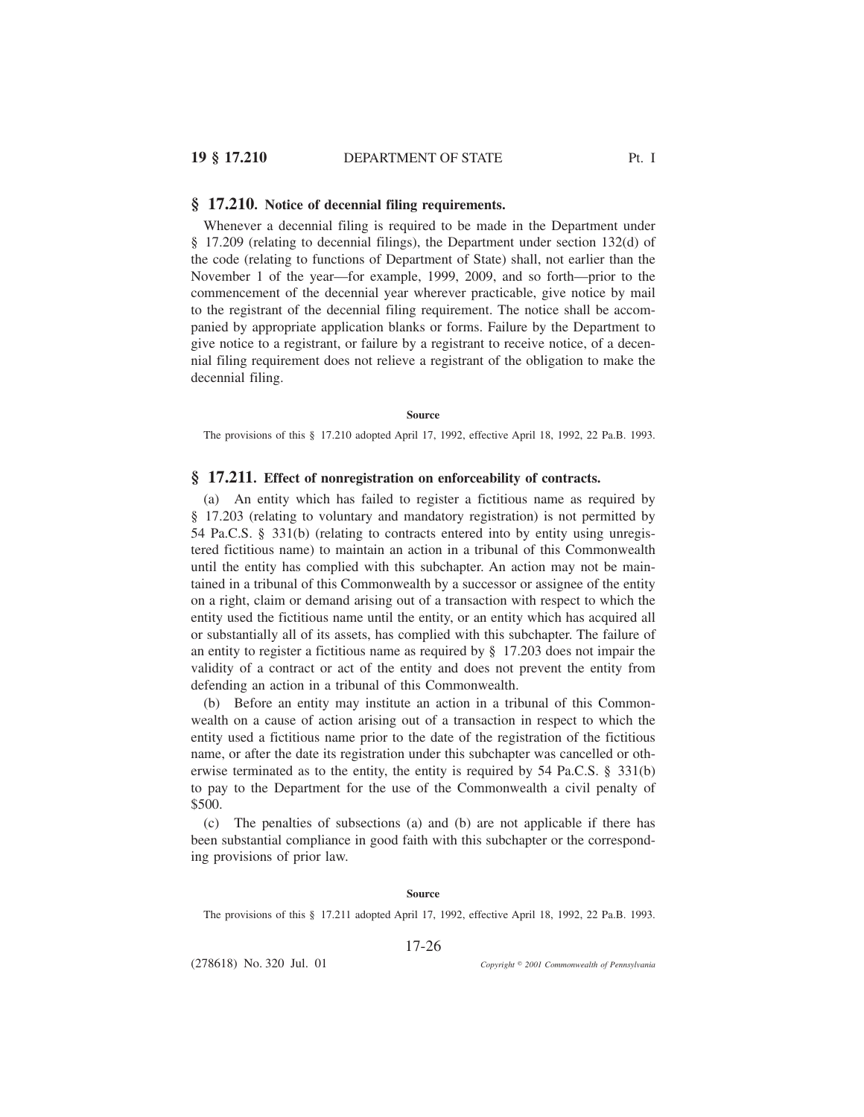### **§ 17.210. Notice of decennial filing requirements.**

Whenever a decennial filing is required to be made in the Department under § 17.209 (relating to decennial filings), the Department under section 132(d) of the code (relating to functions of Department of State) shall, not earlier than the November 1 of the year—for example, 1999, 2009, and so forth—prior to the commencement of the decennial year wherever practicable, give notice by mail to the registrant of the decennial filing requirement. The notice shall be accompanied by appropriate application blanks or forms. Failure by the Department to give notice to a registrant, or failure by a registrant to receive notice, of a decennial filing requirement does not relieve a registrant of the obligation to make the decennial filing.

#### **Source**

The provisions of this § 17.210 adopted April 17, 1992, effective April 18, 1992, 22 Pa.B. 1993.

## **§ 17.211. Effect of nonregistration on enforceability of contracts.**

(a) An entity which has failed to register a fictitious name as required by § 17.203 (relating to voluntary and mandatory registration) is not permitted by 54 Pa.C.S. § 331(b) (relating to contracts entered into by entity using unregistered fictitious name) to maintain an action in a tribunal of this Commonwealth until the entity has complied with this subchapter. An action may not be maintained in a tribunal of this Commonwealth by a successor or assignee of the entity on a right, claim or demand arising out of a transaction with respect to which the entity used the fictitious name until the entity, or an entity which has acquired all or substantially all of its assets, has complied with this subchapter. The failure of an entity to register a fictitious name as required by § 17.203 does not impair the validity of a contract or act of the entity and does not prevent the entity from defending an action in a tribunal of this Commonwealth.

(b) Before an entity may institute an action in a tribunal of this Commonwealth on a cause of action arising out of a transaction in respect to which the entity used a fictitious name prior to the date of the registration of the fictitious name, or after the date its registration under this subchapter was cancelled or otherwise terminated as to the entity, the entity is required by 54 Pa.C.S. § 331(b) to pay to the Department for the use of the Commonwealth a civil penalty of \$500.

(c) The penalties of subsections (a) and (b) are not applicable if there has been substantial compliance in good faith with this subchapter or the corresponding provisions of prior law.

### **Source**

The provisions of this § 17.211 adopted April 17, 1992, effective April 18, 1992, 22 Pa.B. 1993.

17-26

(278618) No. 320 Jul. 01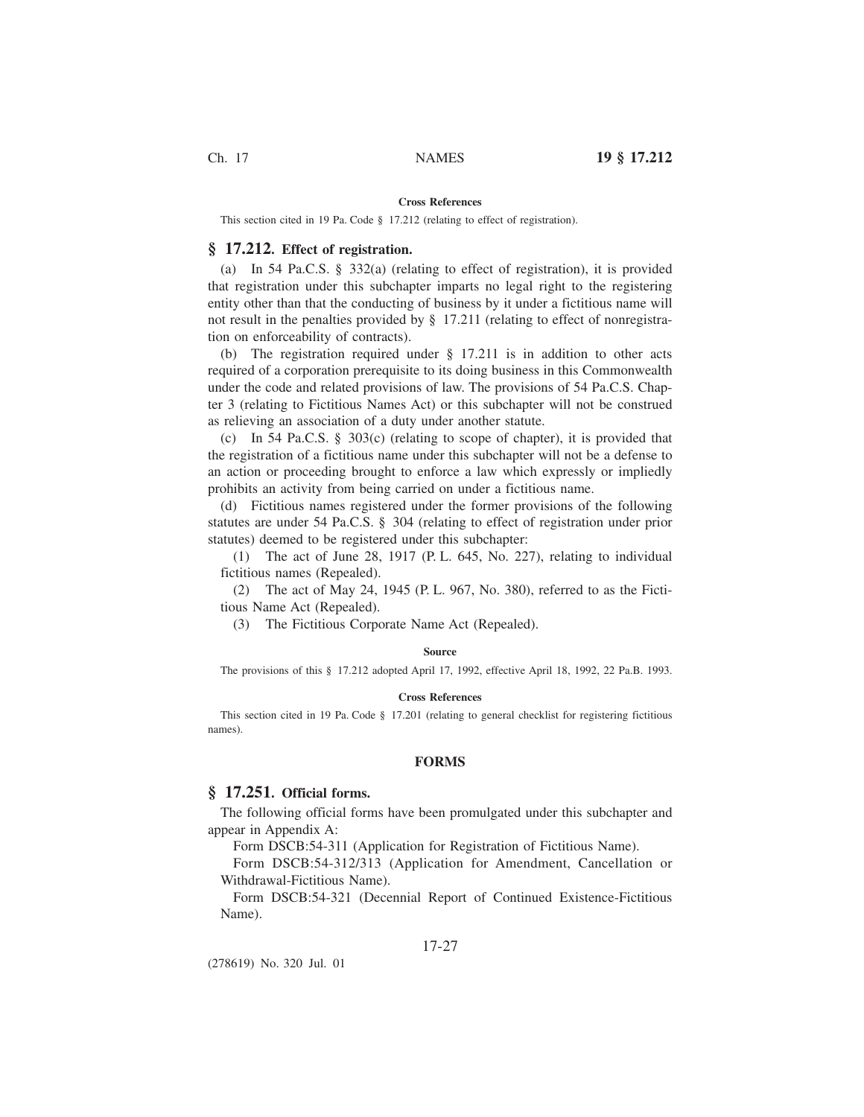#### **Cross References**

This section cited in 19 Pa. Code § 17.212 (relating to effect of registration).

# **§ 17.212. Effect of registration.**

(a) In 54 Pa.C.S. § 332(a) (relating to effect of registration), it is provided that registration under this subchapter imparts no legal right to the registering entity other than that the conducting of business by it under a fictitious name will not result in the penalties provided by § 17.211 (relating to effect of nonregistration on enforceability of contracts).

(b) The registration required under § 17.211 is in addition to other acts required of a corporation prerequisite to its doing business in this Commonwealth under the code and related provisions of law. The provisions of 54 Pa.C.S. Chapter 3 (relating to Fictitious Names Act) or this subchapter will not be construed as relieving an association of a duty under another statute.

(c) In 54 Pa.C.S. § 303(c) (relating to scope of chapter), it is provided that the registration of a fictitious name under this subchapter will not be a defense to an action or proceeding brought to enforce a law which expressly or impliedly prohibits an activity from being carried on under a fictitious name.

(d) Fictitious names registered under the former provisions of the following statutes are under 54 Pa.C.S. § 304 (relating to effect of registration under prior statutes) deemed to be registered under this subchapter:

(1) The act of June 28, 1917 (P. L. 645, No. 227), relating to individual fictitious names (Repealed).

(2) The act of May 24, 1945 (P. L. 967, No. 380), referred to as the Fictitious Name Act (Repealed).

(3) The Fictitious Corporate Name Act (Repealed).

#### **Source**

The provisions of this § 17.212 adopted April 17, 1992, effective April 18, 1992, 22 Pa.B. 1993.

### **Cross References**

This section cited in 19 Pa. Code § 17.201 (relating to general checklist for registering fictitious names).

#### **FORMS**

## **§ 17.251. Official forms.**

The following official forms have been promulgated under this subchapter and appear in Appendix A:

Form DSCB:54-311 (Application for Registration of Fictitious Name).

Form DSCB:54-312/313 (Application for Amendment, Cancellation or Withdrawal-Fictitious Name).

Form DSCB:54-321 (Decennial Report of Continued Existence-Fictitious Name).

## 17-27

(278619) No. 320 Jul. 01